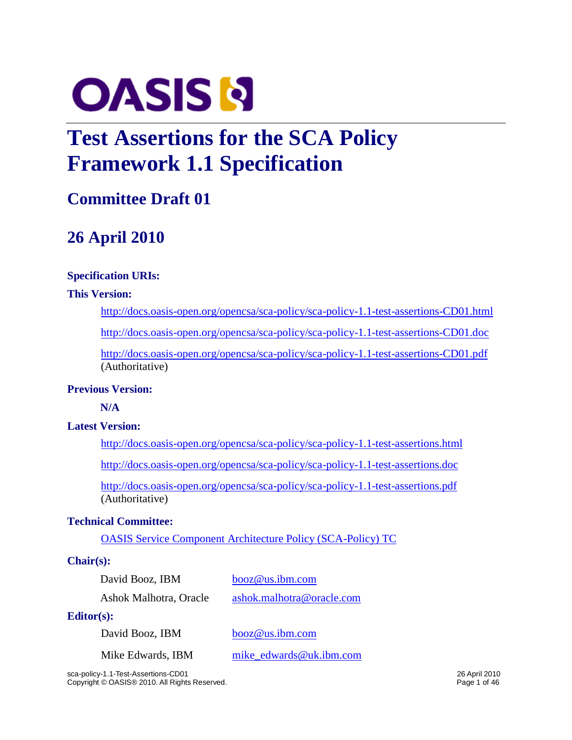

# **Test Assertions for the SCA Policy Framework 1.1 Specification**

## **Committee Draft 01**

## **26 April 2010**

### **Specification URIs:**

### **This Version:**

<http://docs.oasis-open.org/opencsa/sca-policy/sca-policy-1.1-test-assertions-CD01.html>

<http://docs.oasis-open.org/opencsa/sca-policy/sca-policy-1.1-test-assertions-CD01.doc>

<http://docs.oasis-open.org/opencsa/sca-policy/sca-policy-1.1-test-assertions-CD01.pdf> (Authoritative)

### **Previous Version:**

**N/A**

### **Latest Version:**

<http://docs.oasis-open.org/opencsa/sca-policy/sca-policy-1.1-test-assertions.html>

<http://docs.oasis-open.org/opencsa/sca-policy/sca-policy-1.1-test-assertions.doc>

<http://docs.oasis-open.org/opencsa/sca-policy/sca-policy-1.1-test-assertions.pdf> (Authoritative)

### **Technical Committee:**

[OASIS Service Component Architecture Policy \(SCA-Policy\) TC](http://www.oasis-open.org/committees/sca-policy)

### **Chair(s):**

| David Booz, IBM        | booz@us.ibm.com           |  |
|------------------------|---------------------------|--|
| Ashok Malhotra, Oracle | ashok.malhotra@oracle.com |  |

### **Editor(s):**

David Booz, IBM [booz@us.ibm.com](mailto:booz@us.ibm.com) Mike Edwards, IBM mike edwards@uk.ibm.com

sca-policy-1.1-Test-Assertions-CD01 26 April 2010 Copyright © OASIS® 2010. All Rights Reserved. **Page 1 of 46** Page 1 of 46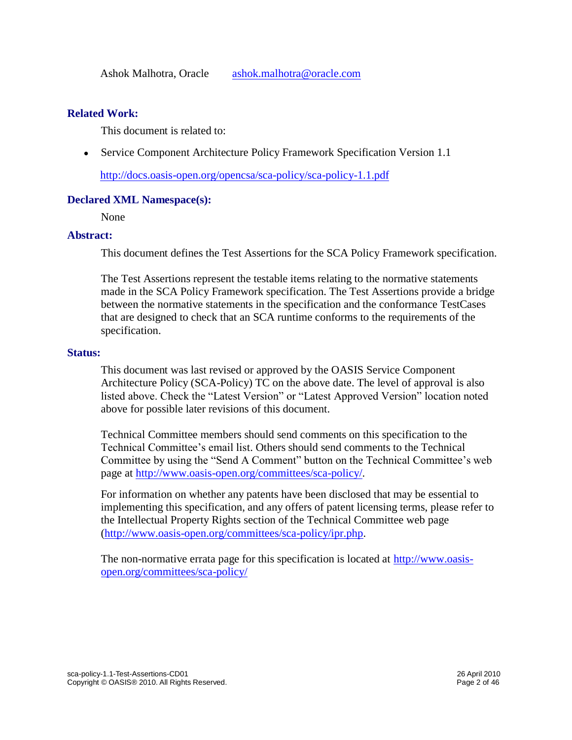### **Related Work:**

This document is related to:

Service Component Architecture Policy Framework Specification Version 1.1

<http://docs.oasis-open.org/opencsa/sca-policy/sca-policy-1.1.pdf>

### **Declared XML Namespace(s):**

None

### **Abstract:**

This document defines the Test Assertions for the SCA Policy Framework specification.

The Test Assertions represent the testable items relating to the normative statements made in the SCA Policy Framework specification. The Test Assertions provide a bridge between the normative statements in the specification and the conformance TestCases that are designed to check that an SCA runtime conforms to the requirements of the specification.

### **Status:**

This document was last revised or approved by the OASIS Service Component Architecture Policy (SCA-Policy) TC on the above date. The level of approval is also listed above. Check the "Latest Version" or "Latest Approved Version" location noted above for possible later revisions of this document.

Technical Committee members should send comments on this specification to the Technical Committee's email list. Others should send comments to the Technical Committee by using the "Send A Comment" button on the Technical Committee's web page at [http://www.oasis-open.org/committees/sca-policy/.](http://www.oasis-open.org/committees/sca-policy/)

For information on whether any patents have been disclosed that may be essential to implementing this specification, and any offers of patent licensing terms, please refer to the Intellectual Property Rights section of the Technical Committee web page [\(http://www.oasis-open.org/committees/sca-policy/ipr.php.](http://www.oasis-open.org/committees/sca-policy/ipr.php)

The non-normative errata page for this specification is located at [http://www.oasis](http://www.oasis-open.org/committees/sca-policy/)[open.org/committees/sca-policy/](http://www.oasis-open.org/committees/sca-policy/)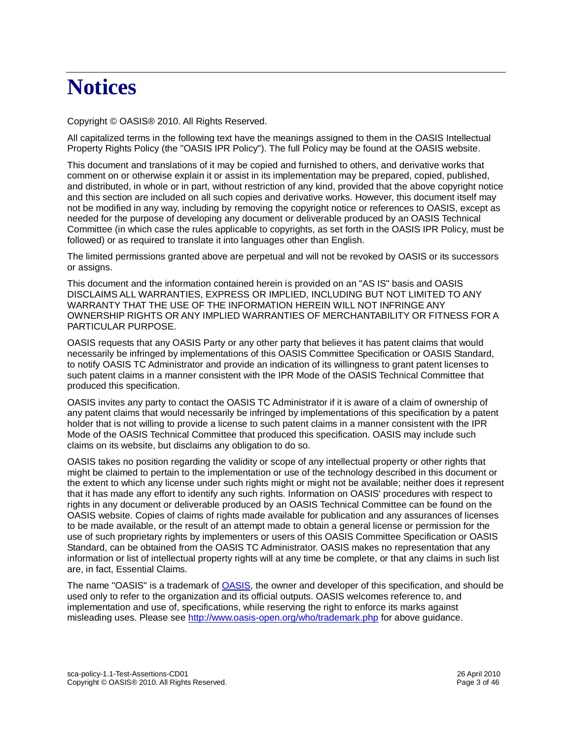# **Notices**

Copyright © OASIS® 2010. All Rights Reserved.

All capitalized terms in the following text have the meanings assigned to them in the OASIS Intellectual Property Rights Policy (the "OASIS IPR Policy"). The full Policy may be found at the OASIS website.

This document and translations of it may be copied and furnished to others, and derivative works that comment on or otherwise explain it or assist in its implementation may be prepared, copied, published, and distributed, in whole or in part, without restriction of any kind, provided that the above copyright notice and this section are included on all such copies and derivative works. However, this document itself may not be modified in any way, including by removing the copyright notice or references to OASIS, except as needed for the purpose of developing any document or deliverable produced by an OASIS Technical Committee (in which case the rules applicable to copyrights, as set forth in the OASIS IPR Policy, must be followed) or as required to translate it into languages other than English.

The limited permissions granted above are perpetual and will not be revoked by OASIS or its successors or assigns.

This document and the information contained herein is provided on an "AS IS" basis and OASIS DISCLAIMS ALL WARRANTIES, EXPRESS OR IMPLIED, INCLUDING BUT NOT LIMITED TO ANY WARRANTY THAT THE USE OF THE INFORMATION HEREIN WILL NOT INFRINGE ANY OWNERSHIP RIGHTS OR ANY IMPLIED WARRANTIES OF MERCHANTABILITY OR FITNESS FOR A PARTICULAR PURPOSE.

OASIS requests that any OASIS Party or any other party that believes it has patent claims that would necessarily be infringed by implementations of this OASIS Committee Specification or OASIS Standard, to notify OASIS TC Administrator and provide an indication of its willingness to grant patent licenses to such patent claims in a manner consistent with the IPR Mode of the OASIS Technical Committee that produced this specification.

OASIS invites any party to contact the OASIS TC Administrator if it is aware of a claim of ownership of any patent claims that would necessarily be infringed by implementations of this specification by a patent holder that is not willing to provide a license to such patent claims in a manner consistent with the IPR Mode of the OASIS Technical Committee that produced this specification. OASIS may include such claims on its website, but disclaims any obligation to do so.

OASIS takes no position regarding the validity or scope of any intellectual property or other rights that might be claimed to pertain to the implementation or use of the technology described in this document or the extent to which any license under such rights might or might not be available; neither does it represent that it has made any effort to identify any such rights. Information on OASIS' procedures with respect to rights in any document or deliverable produced by an OASIS Technical Committee can be found on the OASIS website. Copies of claims of rights made available for publication and any assurances of licenses to be made available, or the result of an attempt made to obtain a general license or permission for the use of such proprietary rights by implementers or users of this OASIS Committee Specification or OASIS Standard, can be obtained from the OASIS TC Administrator. OASIS makes no representation that any information or list of intellectual property rights will at any time be complete, or that any claims in such list are, in fact, Essential Claims.

The name "OASIS" is a trademark of **OASIS**, the owner and developer of this specification, and should be used only to refer to the organization and its official outputs. OASIS welcomes reference to, and implementation and use of, specifications, while reserving the right to enforce its marks against misleading uses. Please see<http://www.oasis-open.org/who/trademark.php> for above guidance.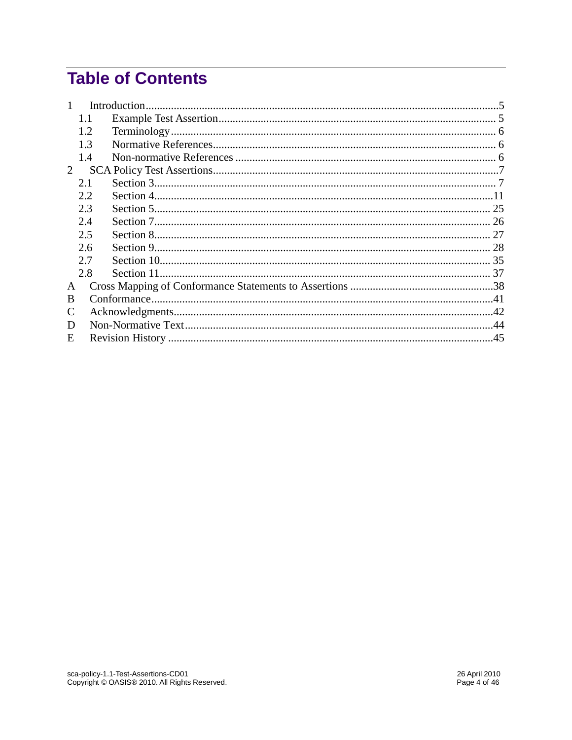## **Table of Contents**

| C |                                                                                  |  |
|---|----------------------------------------------------------------------------------|--|
| D |                                                                                  |  |
|   |                                                                                  |  |
|   | 1.1<br>1.2<br>1.3<br>1.4<br>2.1<br>2.2<br>2.3<br>2.4<br>2.5<br>2.6<br>2.7<br>2.8 |  |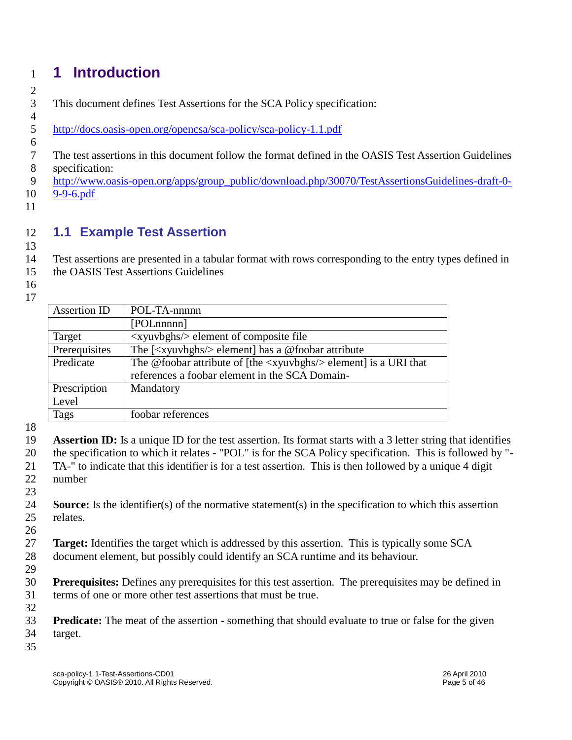## <span id="page-4-0"></span>**1 Introduction**

## 

This document defines Test Assertions for the SCA Policy specification:

- <http://docs.oasis-open.org/opencsa/sca-policy/sca-policy-1.1.pdf>
- 
- The test assertions in this document follow the format defined in the OASIS Test Assertion Guidelines specification:
- [http://www.oasis-open.org/apps/group\\_public/download.php/30070/TestAssertionsGuidelines-draft-0-](http://www.oasis-open.org/apps/group_public/download.php/30070/TestAssertionsGuidelines-draft-0-9-9-6.pdf)
- [9-9-6.pdf](http://www.oasis-open.org/apps/group_public/download.php/30070/TestAssertionsGuidelines-draft-0-9-9-6.pdf)
- 

### <span id="page-4-1"></span>**1.1 Example Test Assertion**

Test assertions are presented in a tabular format with rows corresponding to the entry types defined in

- the OASIS Test Assertions Guidelines
- 

| <b>Assertion ID</b> | POL-TA-nnnnn                                                                              |
|---------------------|-------------------------------------------------------------------------------------------|
|                     | [POLnnnnn]                                                                                |
| Target              | <xyuvbghs></xyuvbghs> element of composite file                                           |
| Prerequisites       | The $\left[\langle x y u v \rangle g h s \rangle \rangle$ element has a @foobar attribute |
| Predicate           | The @foobar attribute of [the $\langle x$ yuvbghs $\rangle$ element] is a URI that        |
|                     | references a foobar element in the SCA Domain-                                            |
| Prescription        | Mandatory                                                                                 |
| Level               |                                                                                           |
| Tags                | foobar references                                                                         |
|                     |                                                                                           |

- **Assertion ID:** Is a unique ID for the test assertion. Its format starts with a 3 letter string that identifies the specification to which it relates - "POL" is for the SCA Policy specification. This is followed by "- TA-" to indicate that this identifier is for a test assertion. This is then followed by a unique 4 digit number
- 
- **Source:** Is the identifier(s) of the normative statement(s) in the specification to which this assertion relates.
- **Target:** Identifies the target which is addressed by this assertion. This is typically some SCA document element, but possibly could identify an SCA runtime and its behaviour.
- 

- **Prerequisites:** Defines any prerequisites for this test assertion. The prerequisites may be defined in terms of one or more other test assertions that must be true.
- 
- **Predicate:** The meat of the assertion something that should evaluate to true or false for the given target.
-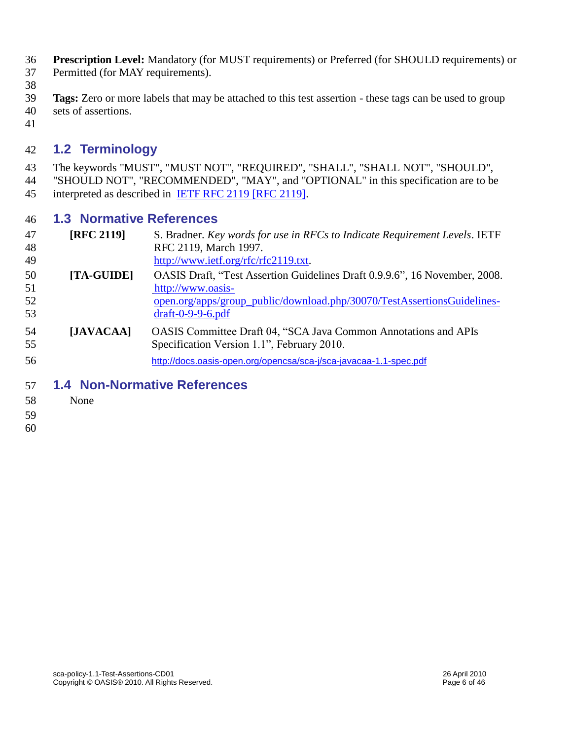- **Prescription Level:** Mandatory (for MUST requirements) or Preferred (for SHOULD requirements) or Permitted (for MAY requirements).
- 
- **Tags:** Zero or more labels that may be attached to this test assertion these tags can be used to group sets of assertions.
- 

### <span id="page-5-0"></span>**1.2 Terminology**

 The keywords "MUST", "MUST NOT", "REQUIRED", "SHALL", "SHALL NOT", "SHOULD", "SHOULD NOT", "RECOMMENDED", "MAY", and "OPTIONAL" in this specification are to be 45 interpreted as described in IETF RFC 2119 [RFC 2119].

### <span id="page-5-1"></span>**1.3 Normative References**

| 47<br>48       | <b>[RFC 2119]</b> | S. Bradner. Key words for use in RFCs to Indicate Requirement Levels. IETF<br>RFC 2119, March 1997.                                                                        |
|----------------|-------------------|----------------------------------------------------------------------------------------------------------------------------------------------------------------------------|
| 49             |                   | http://www.ietf.org/rfc/rfc2119.txt.                                                                                                                                       |
| 50<br>51<br>52 | [TA-GUIDE]        | OASIS Draft, "Test Assertion Guidelines Draft 0.9.9.6", 16 November, 2008.<br>http://www.oasis-<br>open.org/apps/group_public/download.php/30070/TestAssertionsGuidelines- |
| 53<br>54<br>55 | [JAVACAA]         | $dr$ aft-0-9-9-6.pdf<br><b>OASIS Committee Draft 04, "SCA Java Common Annotations and APIs</b><br>Specification Version 1.1", February 2010.                               |
| 56             |                   | http://docs.oasis-open.org/opencsa/sca-j/sca-javacaa-1.1-spec.pdf                                                                                                          |

- <span id="page-5-2"></span>**1.4 Non-Normative References**
- None
- 
-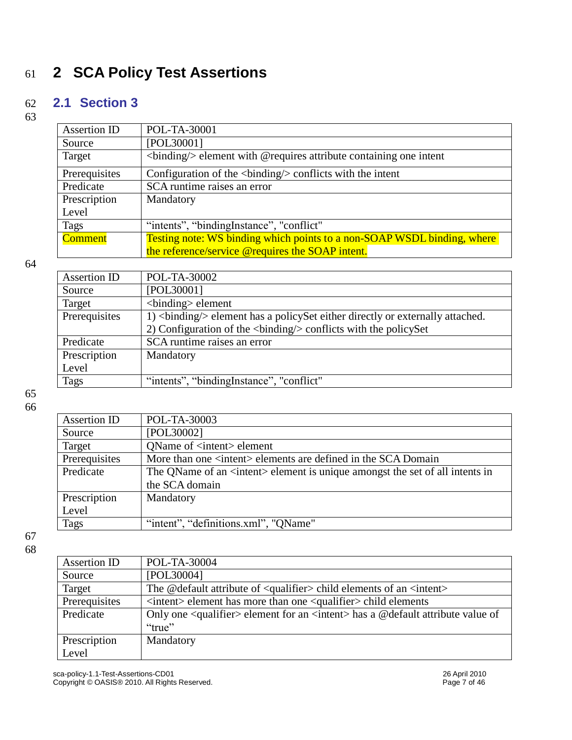## <span id="page-6-0"></span>61 **2 SCA Policy Test Assertions**

### <span id="page-6-1"></span>62 **2.1 Section 3**

63

| Assertion ID   | POL-TA-30001                                                                        |
|----------------|-------------------------------------------------------------------------------------|
| Source         | [POL30001]                                                                          |
| Target         | $\langle$ binding $\rangle$ element with @ requires attribute containing one intent |
| Prerequisites  | Configuration of the $\langle$ binding $\rangle$ conflicts with the intent          |
| Predicate      | SCA runtime raises an error                                                         |
| Prescription   | Mandatory                                                                           |
| Level          |                                                                                     |
| Tags           | "intents", "bindingInstance", "conflict"                                            |
| <b>Comment</b> | Testing note: WS binding which points to a non-SOAP WSDL binding, where             |
|                | the reference/service @requires the SOAP intent.                                    |

64

| Assertion ID  | POL-TA-30002                                                                     |
|---------------|----------------------------------------------------------------------------------|
| Source        | [POL30001]                                                                       |
| Target        | $\langle$ binding $\rangle$ element                                              |
| Prerequisites | 1)<br>binding/> element has a policy Set either directly or externally attached. |
|               | 2) Configuration of the<br>binding> conflicts with the policySet                 |
| Predicate     | SCA runtime raises an error                                                      |
| Prescription  | Mandatory                                                                        |
| Level         |                                                                                  |
| Tags          | "intents", "binding Instance", "conflict"                                        |
|               |                                                                                  |

65 66

| Assertion ID  | POL-TA-30003                                                                          |
|---------------|---------------------------------------------------------------------------------------|
| Source        | [POL30002]                                                                            |
| Target        | OName of <intent> element</intent>                                                    |
| Prerequisites | More than one <intent> elements are defined in the SCA Domain</intent>                |
| Predicate     | The QName of an <intent> element is unique amongst the set of all intents in</intent> |
|               | the SCA domain                                                                        |
| Prescription  | Mandatory                                                                             |
| Level         |                                                                                       |
| <b>Tags</b>   | "intent", "definitions.xml", "QName"                                                  |

| Assertion ID  | POL-TA-30004                                                                                        |
|---------------|-----------------------------------------------------------------------------------------------------|
| Source        | [POL30004]                                                                                          |
| Target        | The @default attribute of <qualifier> child elements of an <intent></intent></qualifier>            |
| Prerequisites | $\langle$ intent> element has more than one $\langle$ qualifier> child elements                     |
| Predicate     | Only one <qualifier> element for an <intent> has a @default attribute value of</intent></qualifier> |
|               | "true"                                                                                              |
| Prescription  | Mandatory                                                                                           |
| Level         |                                                                                                     |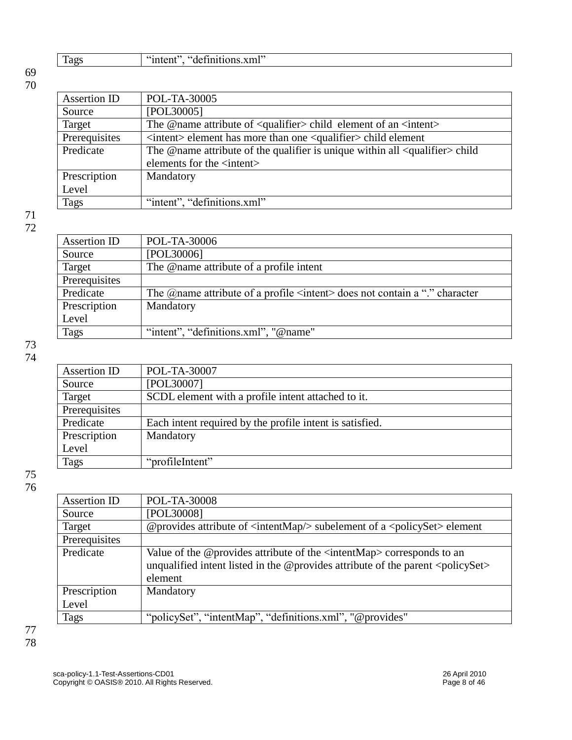| $\cdots$<br> |  |
|--------------|--|

| Assertion ID  | POL-TA-30005                                                                                     |
|---------------|--------------------------------------------------------------------------------------------------|
| Source        | [POL30005]                                                                                       |
| Target        | The @name attribute of <qualifier> child element of an <intent></intent></qualifier>             |
| Prerequisites | $\langle$ intent $\rangle$ element has more than one $\langle$ qualifier $\rangle$ child element |
| Predicate     | The @name attribute of the qualifier is unique within all <qualifier>child</qualifier>           |
|               | elements for the <intent></intent>                                                               |
| Prescription  | Mandatory                                                                                        |
| Level         |                                                                                                  |
| Tags          | "intent", "definitions.xml"                                                                      |

### 71 72

| Assertion ID  | POL-TA-30006                                                                                   |
|---------------|------------------------------------------------------------------------------------------------|
| Source        | [POL30006]                                                                                     |
| Target        | The @name attribute of a profile intent                                                        |
| Prerequisites |                                                                                                |
| Predicate     | The $\omega$ name attribute of a profile $\leq$ intent $\geq$ does not contain a "." character |
| Prescription  | Mandatory                                                                                      |
| Level         |                                                                                                |
| Tags          | "intent", "definitions.xml", "@name"                                                           |

#### 73 74

| Assertion ID  | POL-TA-30007                                             |
|---------------|----------------------------------------------------------|
| Source        | [POL30007]                                               |
| Target        | SCDL element with a profile intent attached to it.       |
| Prerequisites |                                                          |
| Predicate     | Each intent required by the profile intent is satisfied. |
| Prescription  | Mandatory                                                |
| Level         |                                                          |
| <b>Tags</b>   | "profileIntent"                                          |

| Assertion ID  | POL-TA-30008                                                                                                                                                                                  |
|---------------|-----------------------------------------------------------------------------------------------------------------------------------------------------------------------------------------------|
| Source        | [POL30008]                                                                                                                                                                                    |
| Target        | @provides attribute of $\langle$ intentMap $\rangle$ subelement of a $\langle$ policySet > element                                                                                            |
| Prerequisites |                                                                                                                                                                                               |
| Predicate     | Value of the @provides attribute of the $\langle$ intentMap> corresponds to an<br>unqualified intent listed in the @provides attribute of the parent $\langle$ policySet $\rangle$<br>element |
| Prescription  | Mandatory                                                                                                                                                                                     |
| Level         |                                                                                                                                                                                               |
| Tags          | "policySet", "intentMap", "definitions.xml", "@provides"                                                                                                                                      |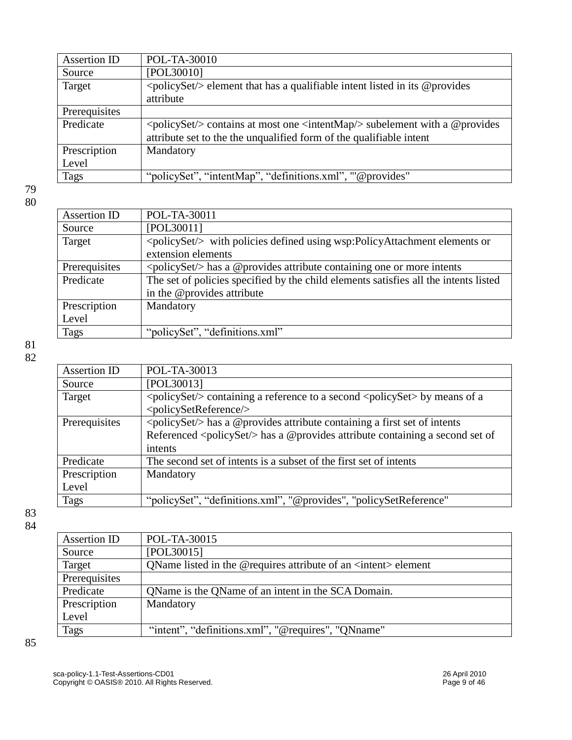| Assertion ID  | POL-TA-30010                                                                                      |
|---------------|---------------------------------------------------------------------------------------------------|
| Source        | [POL30010]                                                                                        |
| Target        | $\langle \text{policySet} \rangle$ element that has a qualifiable intent listed in its @ provides |
|               | attribute                                                                                         |
| Prerequisites |                                                                                                   |
| Predicate     | <policyset></policyset> contains at most one <intentmap></intentmap> subelement with a @provides  |
|               | attribute set to the the unqualified form of the qualifiable intent                               |
| Prescription  | Mandatory                                                                                         |
| Level         |                                                                                                   |
| Tags          | "policySet", "intentMap", "definitions.xml", "'@provides"                                         |

| Assertion ID  | POL-TA-30011                                                                         |
|---------------|--------------------------------------------------------------------------------------|
| Source        | [POL30011]                                                                           |
| Target        | <policyset></policyset> with policies defined using wsp:PolicyAttachment elements or |
|               | extension elements                                                                   |
| Prerequisites | <policyset></policyset> has a @provides attribute containing one or more intents     |
| Predicate     | The set of policies specified by the child elements satisfies all the intents listed |
|               | in the @provides attribute                                                           |
| Prescription  | Mandatory                                                                            |
| Level         |                                                                                      |
| Tags          | "policySet", "definitions.xml"                                                       |
|               |                                                                                      |

81 82

| <b>Assertion ID</b> | POL-TA-30013                                                                                                           |
|---------------------|------------------------------------------------------------------------------------------------------------------------|
| Source              | [POL30013]                                                                                                             |
| Target              | $\langle \text{policySet} \rangle$ containing a reference to a second $\langle \text{policySet} \rangle$ by means of a |
|                     | <policysetreference></policysetreference>                                                                              |
| Prerequisites       | <policyset></policyset> has a @provides attribute containing a first set of intents                                    |
|                     | Referenced <policyset></policyset> has a @provides attribute containing a second set of                                |
|                     | intents                                                                                                                |
| Predicate           | The second set of intents is a subset of the first set of intents                                                      |
| Prescription        | Mandatory                                                                                                              |
| Level               |                                                                                                                        |
| Tags                | "policySet", "definitions.xml", "@provides", "policySetReference"                                                      |
|                     |                                                                                                                        |

83 84

| Assertion ID  | POL-TA-30015                                                            |
|---------------|-------------------------------------------------------------------------|
| Source        | [POL30015]                                                              |
| Target        | QName listed in the @requires attribute of an <intent> element</intent> |
| Prerequisites |                                                                         |
| Predicate     | QName is the QName of an intent in the SCA Domain.                      |
| Prescription  | Mandatory                                                               |
| Level         |                                                                         |
| <b>Tags</b>   | "intent", "definitions.xml", "@requires", "QNname"                      |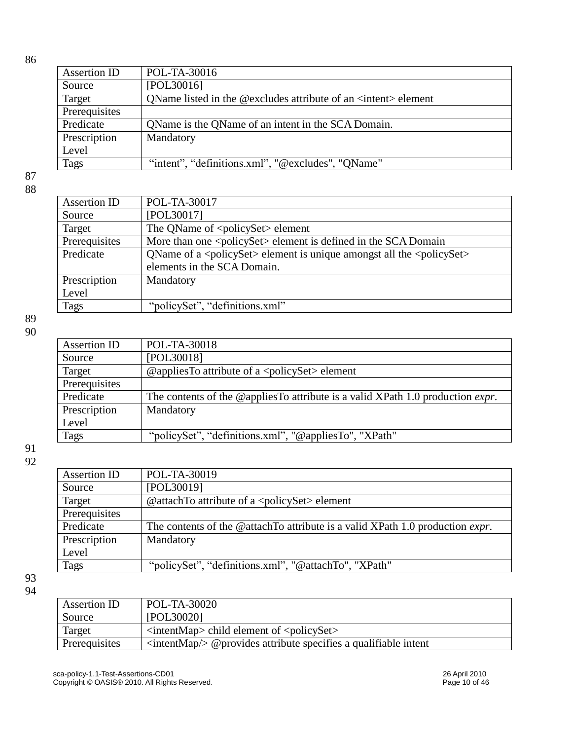| Assertion ID  | POL-TA-30016                                                            |
|---------------|-------------------------------------------------------------------------|
| Source        | [POL30016]                                                              |
| Target        | QName listed in the @excludes attribute of an <intent> element</intent> |
| Prerequisites |                                                                         |
| Predicate     | QName is the QName of an intent in the SCA Domain.                      |
| Prescription  | Mandatory                                                               |
| Level         |                                                                         |
| Tags          | "intent", "definitions.xml", "@excludes", "QName"                       |

87 88

| Assertion ID  | POL-TA-30017                                                                                             |
|---------------|----------------------------------------------------------------------------------------------------------|
| Source        | [POL30017]                                                                                               |
| Target        | The QName of <policyset> element</policyset>                                                             |
| Prerequisites | More than one <policyset> element is defined in the SCA Domain</policyset>                               |
| Predicate     | QName of a $\langle$ policySet $\rangle$ element is unique amongst all the $\langle$ policySet $\rangle$ |
|               | elements in the SCA Domain.                                                                              |
| Prescription  | Mandatory                                                                                                |
| Level         |                                                                                                          |
| Tags          | "policySet", "definitions.xml"                                                                           |

89 90

| POL-TA-30018                                                                           |
|----------------------------------------------------------------------------------------|
| [POL30018]                                                                             |
| @appliesTo attribute of a $\langle$ policySet $\rangle$ element                        |
|                                                                                        |
| The contents of the @appliesTo attribute is a valid XPath 1.0 production <i>expr</i> . |
| Mandatory                                                                              |
|                                                                                        |
| "policySet", "definitions.xml", "@appliesTo", "XPath"                                  |
|                                                                                        |

91 92

| Assertion ID  | POL-TA-30019                                                                          |
|---------------|---------------------------------------------------------------------------------------|
| Source        | [POL30019]                                                                            |
| Target        | @attachTo attribute of a <policyset> element</policyset>                              |
| Prerequisites |                                                                                       |
| Predicate     | The contents of the @attachTo attribute is a valid XPath 1.0 production <i>expr</i> . |
| Prescription  | Mandatory                                                                             |
| Level         |                                                                                       |
| Tags          | "policySet", "definitions.xml", "@attachTo", "XPath"                                  |

| Assertion ID  | POL-TA-30020                                                                           |
|---------------|----------------------------------------------------------------------------------------|
| Source        | [POL30020]                                                                             |
| Target        | $\leq$ intentMap> child element of $\leq$ policySet>                                   |
| Prerequisites | $\langle \text{intentMap}/\rangle$ @ provides attribute specifies a qualifiable intent |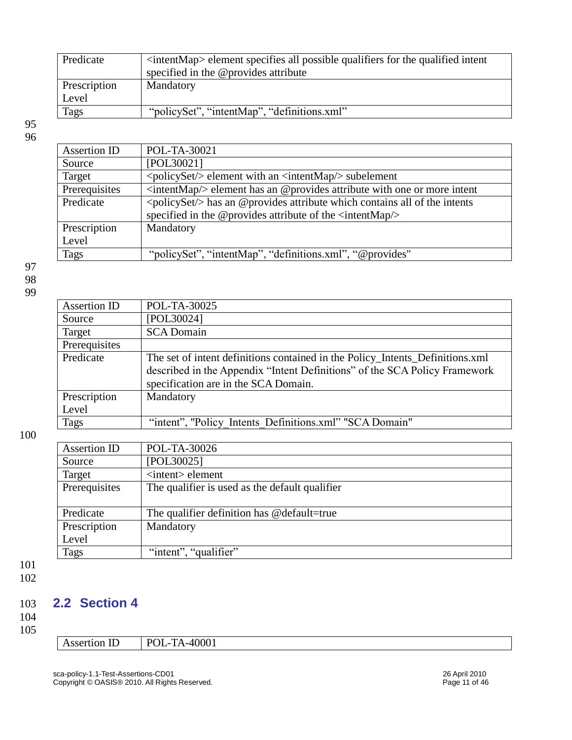| Predicate    | <intentmap> element specifies all possible qualifiers for the qualified intent<br/>specified in the @provides attribute</intentmap> |
|--------------|-------------------------------------------------------------------------------------------------------------------------------------|
| Prescription | Mandatory                                                                                                                           |
| Level        |                                                                                                                                     |
| Tags         | "policySet", "intentMap", "definitions.xml"                                                                                         |

| Assertion ID  | POL-TA-30021                                                                                     |
|---------------|--------------------------------------------------------------------------------------------------|
| Source        | [POL30021]                                                                                       |
| Target        | $\langle \text{policySet} \rangle$ element with an $\langle \text{intentMap}/\rangle$ subelement |
| Prerequisites | $\langle$ intentMap $\rangle$ element has an @provides attribute with one or more intent         |
| Predicate     | $\langle \text{policySet}\rangle$ has an @provides attribute which contains all of the intents   |
|               | specified in the @provides attribute of the <intentmap></intentmap>                              |
| Prescription  | Mandatory                                                                                        |
| Level         |                                                                                                  |
| <b>Tags</b>   | "policySet", "intentMap", "definitions.xml", "@provides"                                         |
|               |                                                                                                  |

97 98

99

| POL-TA-30025                                                                                                                                                                                        |
|-----------------------------------------------------------------------------------------------------------------------------------------------------------------------------------------------------|
| [POL30024]                                                                                                                                                                                          |
| <b>SCA Domain</b>                                                                                                                                                                                   |
|                                                                                                                                                                                                     |
| The set of intent definitions contained in the Policy_Intents_Definitions.xml<br>described in the Appendix "Intent Definitions" of the SCA Policy Framework<br>specification are in the SCA Domain. |
| Mandatory                                                                                                                                                                                           |
|                                                                                                                                                                                                     |
| "intent", "Policy Intents Definitions.xml" "SCA Domain"                                                                                                                                             |
|                                                                                                                                                                                                     |

100

| Assertion ID  | POL-TA-30026                                   |
|---------------|------------------------------------------------|
| Source        | [POL30025]                                     |
| Target        | <intent> element</intent>                      |
| Prerequisites | The qualifier is used as the default qualifier |
|               |                                                |
| Predicate     | The qualifier definition has @default=true     |
| Prescription  | Mandatory                                      |
| Level         |                                                |
| <b>Tags</b>   | "intent", "qualifier"                          |

101 102

### <span id="page-10-0"></span>103 **2.2 Section 4**

## 104

105

Assertion ID POL-TA-40001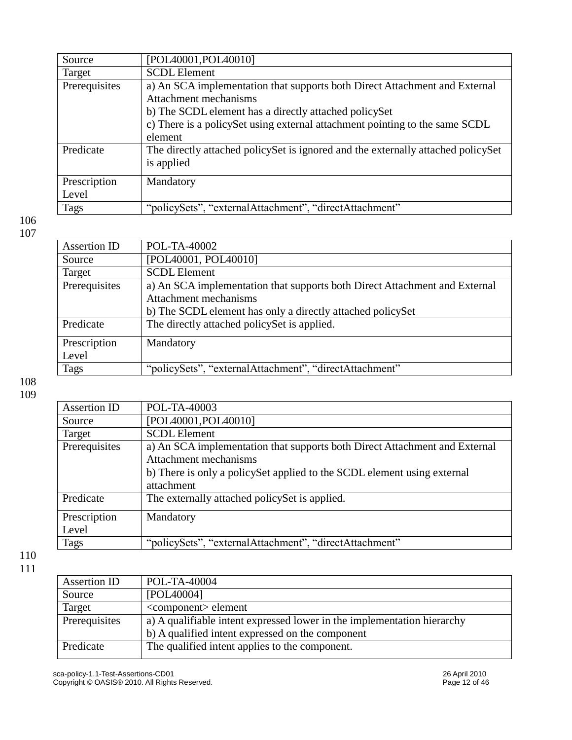| [POL40001, POL40010]                                                             |
|----------------------------------------------------------------------------------|
| <b>SCDL</b> Element                                                              |
| a) An SCA implementation that supports both Direct Attachment and External       |
| Attachment mechanisms                                                            |
| b) The SCDL element has a directly attached policySet                            |
| c) There is a policy Set using external attachment pointing to the same SCDL     |
| element                                                                          |
| The directly attached policySet is ignored and the externally attached policySet |
| is applied                                                                       |
| Mandatory                                                                        |
|                                                                                  |
| "policySets", "externalAttachment", "directAttachment"                           |
|                                                                                  |

| Assertion ID  | POL-TA-40002                                                               |
|---------------|----------------------------------------------------------------------------|
| Source        | [POL40001, POL40010]                                                       |
| Target        | <b>SCDL</b> Element                                                        |
| Prerequisites | a) An SCA implementation that supports both Direct Attachment and External |
|               | Attachment mechanisms                                                      |
|               | b) The SCDL element has only a directly attached policySet                 |
| Predicate     | The directly attached policySet is applied.                                |
| Prescription  | Mandatory                                                                  |
| Level         |                                                                            |
| <b>Tags</b>   | "policySets", "externalAttachment", "directAttachment"                     |
|               |                                                                            |

108 109

| Assertion ID  | POL-TA-40003                                                               |
|---------------|----------------------------------------------------------------------------|
| Source        | [POL40001,POL40010]                                                        |
| Target        | <b>SCDL</b> Element                                                        |
| Prerequisites | a) An SCA implementation that supports both Direct Attachment and External |
|               | Attachment mechanisms                                                      |
|               | b) There is only a policySet applied to the SCDL element using external    |
|               | attachment                                                                 |
| Predicate     | The externally attached policySet is applied.                              |
|               |                                                                            |
| Prescription  | Mandatory                                                                  |
| Level         |                                                                            |
| Tags          | "policySets", "externalAttachment", "directAttachment"                     |
|               |                                                                            |

| Assertion ID  | POL-TA-40004                                                            |
|---------------|-------------------------------------------------------------------------|
| Source        | [POL40004]                                                              |
| Target        | <component> element</component>                                         |
| Prerequisites | a) A qualifiable intent expressed lower in the implementation hierarchy |
|               | b) A qualified intent expressed on the component                        |
| Predicate     | The qualified intent applies to the component.                          |
|               |                                                                         |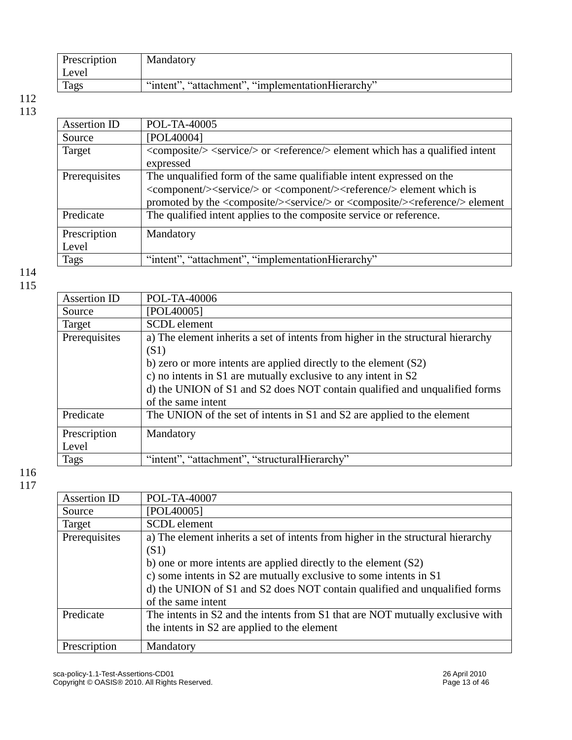| Prescription | Mandatory                                         |
|--------------|---------------------------------------------------|
| Level        |                                                   |
| Tags         | "intent", "attachment", "implementationHierarchy" |

| Assertion ID  | POL-TA-40005                                                                                                           |
|---------------|------------------------------------------------------------------------------------------------------------------------|
| Source        | [POL40004]                                                                                                             |
| Target        | <composite></composite> <service></service> or <reference></reference> element which has a qualified intent            |
|               | expressed                                                                                                              |
| Prerequisites | The unqualified form of the same qualifiable intent expressed on the                                                   |
|               | <component></component> service/> or <component></component> >reference/> element which is                             |
|               | promoted by the <composite></composite> <service></service> or <composite></composite> <reference></reference> element |
| Predicate     | The qualified intent applies to the composite service or reference.                                                    |
| Prescription  | Mandatory                                                                                                              |
| Level         |                                                                                                                        |
| Tags          | "intent", "attachment", "implementationHierarchy"                                                                      |
|               |                                                                                                                        |

114 115

| <b>Assertion ID</b> | POL-TA-40006                                                                     |
|---------------------|----------------------------------------------------------------------------------|
| Source              | [POL40005]                                                                       |
| Target              | SCDL element                                                                     |
| Prerequisites       | a) The element inherits a set of intents from higher in the structural hierarchy |
|                     | (S1)                                                                             |
|                     | b) zero or more intents are applied directly to the element $(S2)$               |
|                     | c) no intents in S1 are mutually exclusive to any intent in S2                   |
|                     | d) the UNION of S1 and S2 does NOT contain qualified and unqualified forms       |
|                     | of the same intent                                                               |
| Predicate           | The UNION of the set of intents in S1 and S2 are applied to the element          |
| Prescription        | Mandatory                                                                        |
| Level               |                                                                                  |
| Tags                | "intent", "attachment", "structuralHierarchy"                                    |
|                     |                                                                                  |

| Assertion ID  | POL-TA-40007                                                                     |
|---------------|----------------------------------------------------------------------------------|
| Source        | [POL40005]                                                                       |
| Target        | <b>SCDL</b> element                                                              |
| Prerequisites | a) The element inherits a set of intents from higher in the structural hierarchy |
|               | (S1)                                                                             |
|               | b) one or more intents are applied directly to the element $(S2)$                |
|               | c) some intents in S2 are mutually exclusive to some intents in S1               |
|               | d) the UNION of S1 and S2 does NOT contain qualified and unqualified forms       |
|               | of the same intent                                                               |
| Predicate     | The intents in S2 and the intents from S1 that are NOT mutually exclusive with   |
|               | the intents in S2 are applied to the element                                     |
|               |                                                                                  |
| Prescription  | Mandatory                                                                        |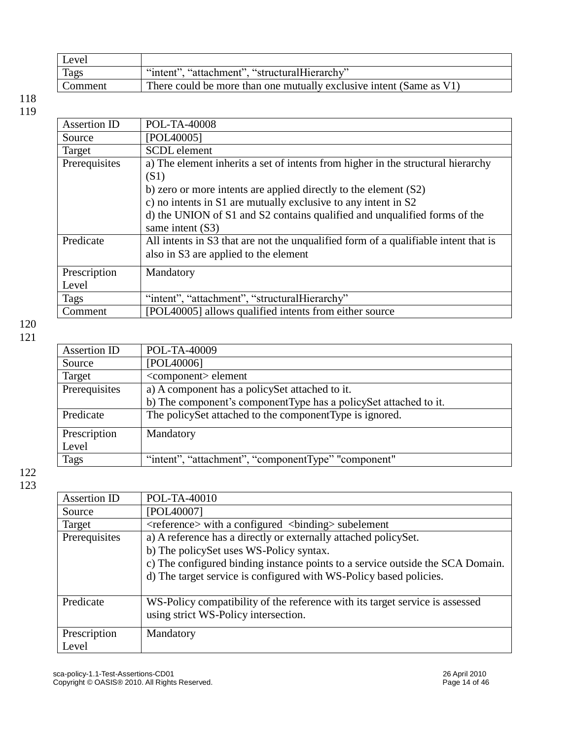| Level   |                                                                     |
|---------|---------------------------------------------------------------------|
| Tags    | "intent", "attachment", "structuralHierarchy"                       |
| Comment | There could be more than one mutually exclusive intent (Same as V1) |

| POL-TA-40008                                                                        |
|-------------------------------------------------------------------------------------|
| [POL40005]                                                                          |
| <b>SCDL</b> element                                                                 |
| a) The element inherits a set of intents from higher in the structural hierarchy    |
| (S1)                                                                                |
| b) zero or more intents are applied directly to the element $(S2)$                  |
| c) no intents in S1 are mutually exclusive to any intent in S2                      |
| d) the UNION of S1 and S2 contains qualified and unqualified forms of the           |
| same intent (S3)                                                                    |
| All intents in S3 that are not the unqualified form of a qualifiable intent that is |
| also in S3 are applied to the element                                               |
| Mandatory                                                                           |
|                                                                                     |
| "intent", "attachment", "structuralHierarchy"                                       |
| [POL40005] allows qualified intents from either source                              |
|                                                                                     |

### 120

|--|--|

| Assertion ID  | POL-TA-40009                                                       |
|---------------|--------------------------------------------------------------------|
| Source        | [POL40006]                                                         |
| Target        | <component> element</component>                                    |
| Prerequisites | a) A component has a policy Set attached to it.                    |
|               | b) The component's component Type has a policy Set attached to it. |
| Predicate     | The policySet attached to the componentType is ignored.            |
| Prescription  | Mandatory                                                          |
| Level         |                                                                    |
| Tags          | "intent", "attachment", "componentType" "component"                |

| Assertion ID  | POL-TA-40010                                                                      |
|---------------|-----------------------------------------------------------------------------------|
| Source        | [POL40007]                                                                        |
| Target        | <reference> with a configured <br/> <br/> <br/>dinding&gt; subelement</reference> |
| Prerequisites | a) A reference has a directly or externally attached policySet.                   |
|               | b) The policySet uses WS-Policy syntax.                                           |
|               | c) The configured binding instance points to a service outside the SCA Domain.    |
|               | d) The target service is configured with WS-Policy based policies.                |
|               |                                                                                   |
| Predicate     | WS-Policy compatibility of the reference with its target service is assessed      |
|               | using strict WS-Policy intersection.                                              |
|               |                                                                                   |
| Prescription  | Mandatory                                                                         |
| Level         |                                                                                   |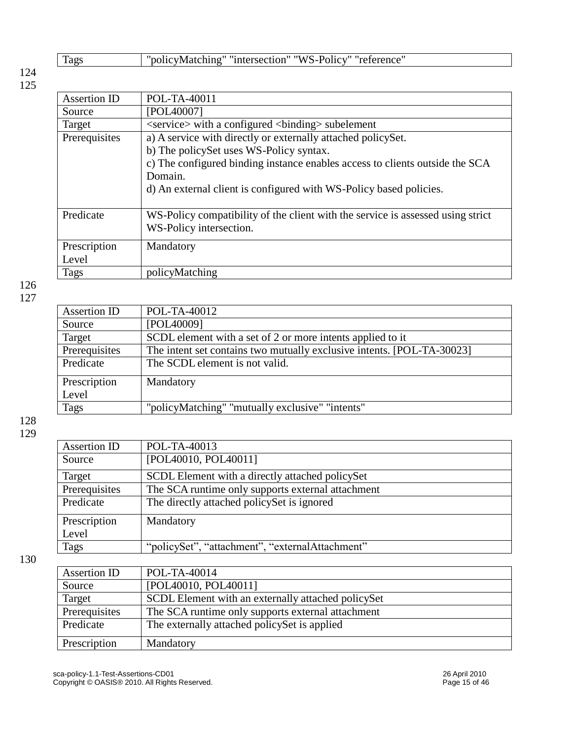|--|

| Assertion ID  | POL-TA-40011                                                                    |
|---------------|---------------------------------------------------------------------------------|
| Source        | [POL40007]                                                                      |
| Target        | <service> with a configured <br/> <br/>binding&gt; subelement</service>         |
| Prerequisites | a) A service with directly or externally attached policySet.                    |
|               | b) The policySet uses WS-Policy syntax.                                         |
|               | c) The configured binding instance enables access to clients outside the SCA    |
|               | Domain.                                                                         |
|               | d) An external client is configured with WS-Policy based policies.              |
|               |                                                                                 |
| Predicate     | WS-Policy compatibility of the client with the service is assessed using strict |
|               | WS-Policy intersection.                                                         |
|               |                                                                                 |
| Prescription  | Mandatory                                                                       |
| Level         |                                                                                 |
| Tags          | policyMatching                                                                  |

126 127

| Assertion ID  | POL-TA-40012                                                           |
|---------------|------------------------------------------------------------------------|
| Source        | [POL40009]                                                             |
| Target        | SCDL element with a set of 2 or more intents applied to it             |
| Prerequisites | The intent set contains two mutually exclusive intents. [POL-TA-30023] |
| Predicate     | The SCDL element is not valid.                                         |
| Prescription  | Mandatory                                                              |
| Level         |                                                                        |
| Tags          | "policyMatching" "mutually exclusive" "intents"                        |

128 129

| Assertion ID  | POL-TA-40013                                      |
|---------------|---------------------------------------------------|
| Source        | [POL40010, POL40011]                              |
| Target        | SCDL Element with a directly attached policySet   |
| Prerequisites | The SCA runtime only supports external attachment |
| Predicate     | The directly attached policy Set is ignored       |
| Prescription  | Mandatory                                         |
| Level         |                                                   |
| Tags          | "policySet", "attachment", "externalAttachment"   |

| Assertion ID  | POL-TA-40014                                       |
|---------------|----------------------------------------------------|
| Source        | [POL40010, POL40011]                               |
| Target        | SCDL Element with an externally attached policySet |
| Prerequisites | The SCA runtime only supports external attachment  |
| Predicate     | The externally attached policy Set is applied      |
| Prescription  | Mandatory                                          |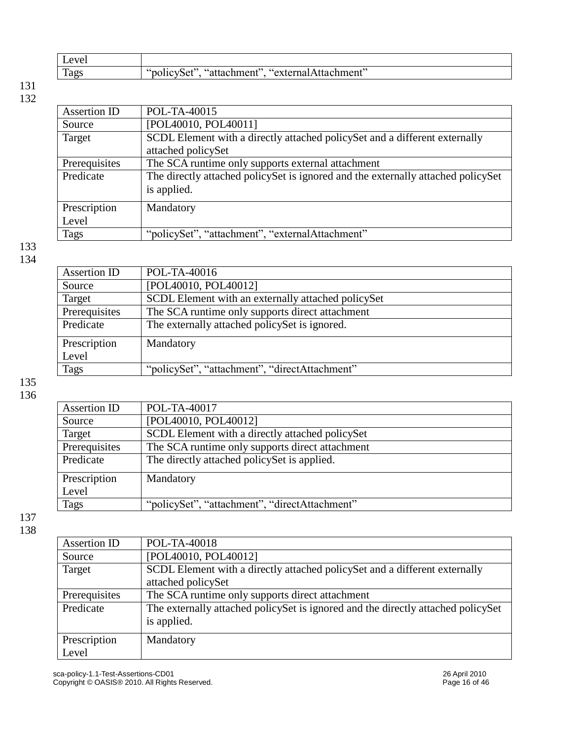| $\mathbf{r}$<br>Level |                                                                       |
|-----------------------|-----------------------------------------------------------------------|
| Tags                  | chment"<br>externar -<br>attachment¤''<br>ີ່`ຖ∩⊥<br>∗ہ۔<br>ment<br>ги |

| Assertion ID  | POL-TA-40015                                                                     |
|---------------|----------------------------------------------------------------------------------|
| Source        | [POL40010, POL40011]                                                             |
| Target        | SCDL Element with a directly attached policySet and a different externally       |
|               | attached policySet                                                               |
| Prerequisites | The SCA runtime only supports external attachment                                |
| Predicate     | The directly attached policySet is ignored and the externally attached policySet |
|               | is applied.                                                                      |
| Prescription  | Mandatory                                                                        |
| Level         |                                                                                  |
| Tags          | "policySet", "attachment", "externalAttachment"                                  |

#### 133 134

### Assertion ID | POL-TA-40016 Source [POL40010, POL40012]<br>Target SCDL Element with an e Target SCDL Element with an externally attached policySet<br>Prerequisites The SCA runtime only supports direct attachment Prerequisites The SCA runtime only supports direct attachment<br>Predicate The externally attached policySet is ignored. The externally attached policySet is ignored. **Prescription** Level **Mandatory** Tags "policySet", "attachment", "directAttachment"

135 136

| Assertion ID  | POL-TA-40017                                    |
|---------------|-------------------------------------------------|
| Source        | [POL40010, POL40012]                            |
| Target        | SCDL Element with a directly attached policySet |
| Prerequisites | The SCA runtime only supports direct attachment |
| Predicate     | The directly attached policy Set is applied.    |
| Prescription  | Mandatory                                       |
| Level         |                                                 |
| <b>Tags</b>   | "policySet", "attachment", "directAttachment"   |

| Assertion ID  | POL-TA-40018                                                                     |
|---------------|----------------------------------------------------------------------------------|
| Source        | [POL40010, POL40012]                                                             |
| Target        | SCDL Element with a directly attached policySet and a different externally       |
|               | attached policySet                                                               |
| Prerequisites | The SCA runtime only supports direct attachment                                  |
| Predicate     | The externally attached policySet is ignored and the directly attached policySet |
|               | is applied.                                                                      |
| Prescription  | Mandatory                                                                        |
| Level         |                                                                                  |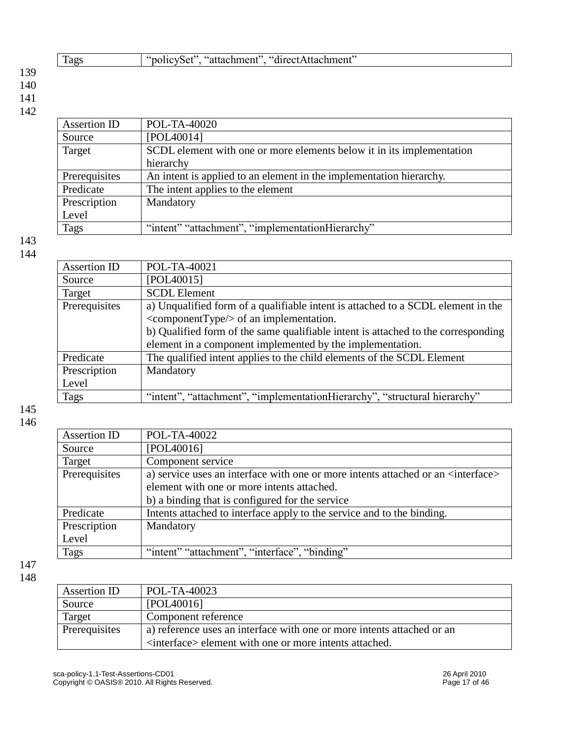#### 140 141

142

| POL-TA-40020                                                          |
|-----------------------------------------------------------------------|
| [POL40014]                                                            |
| SCDL element with one or more elements below it in its implementation |
| hierarchy                                                             |
| An intent is applied to an element in the implementation hierarchy.   |
| The intent applies to the element                                     |
| Mandatory                                                             |
|                                                                       |
| "intent" "attachment", "implementationHierarchy"                      |
|                                                                       |

Tags "policySet", "attachment", "directAttachment"

### 143 144

| Assertion ID  | POL-TA-40021                                                                      |
|---------------|-----------------------------------------------------------------------------------|
| Source        | [POL40015]                                                                        |
| Target        | <b>SCDL Element</b>                                                               |
| Prerequisites | a) Unqualified form of a qualifiable intent is attached to a SCDL element in the  |
|               | $\leq$ componentType $\geq$ of an implementation.                                 |
|               | b) Qualified form of the same qualifiable intent is attached to the corresponding |
|               | element in a component implemented by the implementation.                         |
| Predicate     | The qualified intent applies to the child elements of the SCDL Element            |
| Prescription  | Mandatory                                                                         |
| Level         |                                                                                   |
| <b>Tags</b>   | "intent", "attachment", "implementationHierarchy", "structural hierarchy"         |

145 146

| Assertion ID  | POL-TA-40022                                                                                 |
|---------------|----------------------------------------------------------------------------------------------|
| Source        | [POL40016]                                                                                   |
| Target        | Component service                                                                            |
| Prerequisites | a) service uses an interface with one or more intents attached or an <interface></interface> |
|               | element with one or more intents attached.                                                   |
|               | b) a binding that is configured for the service                                              |
| Predicate     | Intents attached to interface apply to the service and to the binding.                       |
| Prescription  | Mandatory                                                                                    |
| Level         |                                                                                              |
| Tags          | "intent" "attachment", "interface", "binding"                                                |

| Assertion ID  | POL-TA-40023                                                           |
|---------------|------------------------------------------------------------------------|
| Source        | [POL40016]                                                             |
| Target        | Component reference                                                    |
| Prerequisites | a) reference uses an interface with one or more intents attached or an |
|               | <interface> element with one or more intents attached.</interface>     |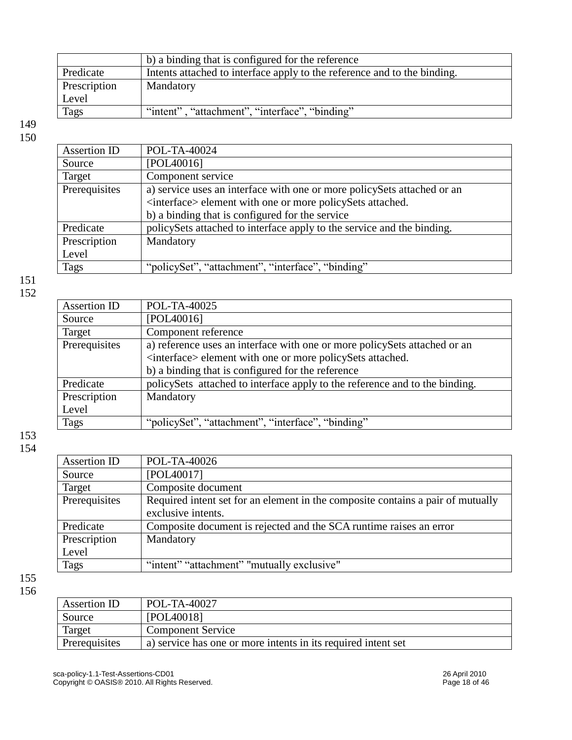|              | b) a binding that is configured for the reference                        |
|--------------|--------------------------------------------------------------------------|
| Predicate    | Intents attached to interface apply to the reference and to the binding. |
| Prescription | Mandatory                                                                |
| Level        |                                                                          |
| <b>Tags</b>  | "intent", "attachment", "interface", "binding"                           |
|              |                                                                          |

| Assertion ID  | POL-TA-40024                                                            |
|---------------|-------------------------------------------------------------------------|
| Source        | [POL40016]                                                              |
| Target        | Component service                                                       |
| Prerequisites | a) service uses an interface with one or more policySets attached or an |
|               | <interface> element with one or more policySets attached.</interface>   |
|               | b) a binding that is configured for the service                         |
| Predicate     | policySets attached to interface apply to the service and the binding.  |
| Prescription  | Mandatory                                                               |
| Level         |                                                                         |
| <b>Tags</b>   | "policySet", "attachment", "interface", "binding"                       |

### 151 152

| Assertion ID  | POL-TA-40025                                                                |
|---------------|-----------------------------------------------------------------------------|
| Source        | [POL40016]                                                                  |
| Target        | Component reference                                                         |
| Prerequisites | a) reference uses an interface with one or more policySets attached or an   |
|               | <interface> element with one or more policySets attached.</interface>       |
|               | b) a binding that is configured for the reference                           |
| Predicate     | policySets attached to interface apply to the reference and to the binding. |
| Prescription  | Mandatory                                                                   |
| Level         |                                                                             |
| Tags          | "policySet", "attachment", "interface", "binding"                           |
|               |                                                                             |

### 153 154

| POL-TA-40026                                                                    |
|---------------------------------------------------------------------------------|
| [POL40017]                                                                      |
| Composite document                                                              |
| Required intent set for an element in the composite contains a pair of mutually |
| exclusive intents.                                                              |
| Composite document is rejected and the SCA runtime raises an error              |
| Mandatory                                                                       |
|                                                                                 |
| "intent" "attachment" "mutually exclusive"                                      |
|                                                                                 |

| ۰,<br>۰.<br>۰.<br>×<br>۰.<br>× |  |
|--------------------------------|--|
|--------------------------------|--|

| Assertion ID  | POL-TA-40027                                                  |
|---------------|---------------------------------------------------------------|
| Source        | [POL40018]                                                    |
| Target        | <b>Component Service</b>                                      |
| Prerequisites | a) service has one or more intents in its required intent set |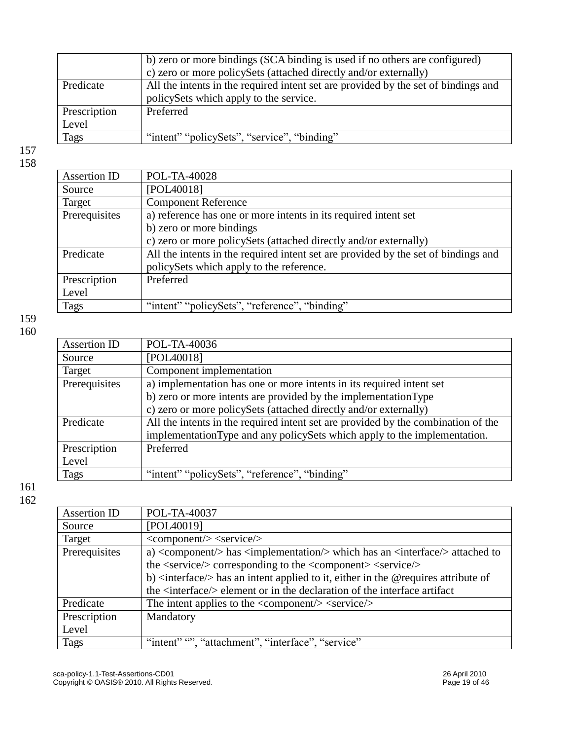|              | b) zero or more bindings (SCA binding is used if no others are configured)         |
|--------------|------------------------------------------------------------------------------------|
|              | c) zero or more policySets (attached directly and/or externally)                   |
| Predicate    | All the intents in the required intent set are provided by the set of bindings and |
|              | policySets which apply to the service.                                             |
| Prescription | Preferred                                                                          |
| Level        |                                                                                    |
| <b>Tags</b>  | "intent" "policySets", "service", "binding"                                        |

| Assertion ID  | POL-TA-40028                                                                       |
|---------------|------------------------------------------------------------------------------------|
| Source        | [POL40018]                                                                         |
| Target        | <b>Component Reference</b>                                                         |
| Prerequisites | a) reference has one or more intents in its required intent set                    |
|               | b) zero or more bindings                                                           |
|               | c) zero or more policySets (attached directly and/or externally)                   |
| Predicate     | All the intents in the required intent set are provided by the set of bindings and |
|               | policySets which apply to the reference.                                           |
| Prescription  | Preferred                                                                          |
| Level         |                                                                                    |
| Tags          | "intent" "policySets", "reference", "binding"                                      |

159 160

| POL-TA-40036<br>Assertion ID<br>[POL40018]<br>Source<br>Component implementation               |  |
|------------------------------------------------------------------------------------------------|--|
|                                                                                                |  |
|                                                                                                |  |
| Target                                                                                         |  |
| Prerequisites<br>a) implementation has one or more intents in its required intent set          |  |
| b) zero or more intents are provided by the implementation Type                                |  |
| c) zero or more policySets (attached directly and/or externally)                               |  |
| All the intents in the required intent set are provided by the combination of the<br>Predicate |  |
| implementationType and any policySets which apply to the implementation.                       |  |
| Prescription<br>Preferred                                                                      |  |
| Level                                                                                          |  |
| "intent" "policySets", "reference", "binding"<br><b>Tags</b>                                   |  |

| Assertion ID  | POL-TA-40037                                                                                                      |
|---------------|-------------------------------------------------------------------------------------------------------------------|
| Source        | [POL40019]                                                                                                        |
| Target        | $\langle \text{component} \rangle > \langle \text{service} \rangle$                                               |
| Prerequisites | a) <component></component> has <implementation></implementation> which has an <interface></interface> attached to |
|               | the <service></service> corresponding to the <component> <service></service></component>                          |
|               | b) $\langle$ interface $\rangle$ has an intent applied to it, either in the @requires attribute of                |
|               | the <interface></interface> element or in the declaration of the interface artifact                               |
| Predicate     | The intent applies to the $\langle$ component $\rangle$ $\langle$ service $\rangle$                               |
| Prescription  | Mandatory                                                                                                         |
| Level         |                                                                                                                   |
| Tags          | "intent" "", "attachment", "interface", "service"                                                                 |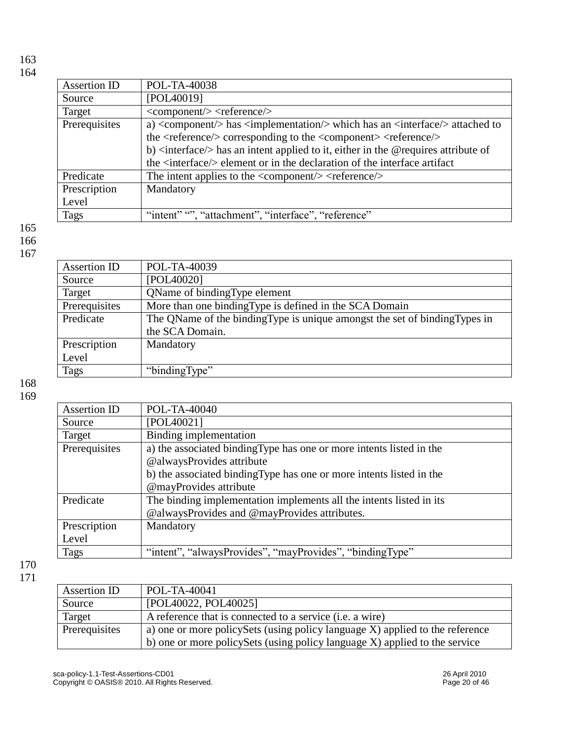| Assertion ID  | POL-TA-40038                                                                                             |
|---------------|----------------------------------------------------------------------------------------------------------|
| Source        | [POL40019]                                                                                               |
| Target        | $\langle \text{component} \rangle > \langle \text{reference} \rangle$                                    |
| Prerequisites | a) <component></component> has $\langle$ implementation/> which has an $\langle$ interface/> attached to |
|               | the <reference></reference> corresponding to the <component> <reference></reference></component>         |
|               | b) $\langle$ interface $\rangle$ has an intent applied to it, either in the @requires attribute of       |
|               | the <interface></interface> element or in the declaration of the interface artifact                      |
| Predicate     | The intent applies to the $\langle$ component $\rangle$ $\langle$ reference $\rangle$                    |
| Prescription  | Mandatory                                                                                                |
| Level         |                                                                                                          |
| Tags          | "intent", "attachment", "interface", "reference"                                                         |

165 166

167

| Assertion ID  | POL-TA-40039                                                                |
|---------------|-----------------------------------------------------------------------------|
| Source        | [POL40020]                                                                  |
| Target        | <b>OName of binding Type element</b>                                        |
| Prerequisites | More than one binding Type is defined in the SCA Domain                     |
| Predicate     | The QName of the binding Type is unique amongst the set of binding Types in |
|               | the SCA Domain.                                                             |
| Prescription  | Mandatory                                                                   |
| Level         |                                                                             |
| Tags          | "bindingType"                                                               |
|               |                                                                             |

168 169

| Assertion ID  | POL-TA-40040                                                         |
|---------------|----------------------------------------------------------------------|
|               |                                                                      |
| Source        | [POL40021]                                                           |
| Target        | Binding implementation                                               |
| Prerequisites | a) the associated binding Type has one or more intents listed in the |
|               | @alwaysProvides attribute                                            |
|               | b) the associated binding Type has one or more intents listed in the |
|               | @mayProvides attribute                                               |
| Predicate     | The binding implementation implements all the intents listed in its  |
|               | @alwaysProvides and @mayProvides attributes.                         |
| Prescription  | Mandatory                                                            |
| Level         |                                                                      |
| Tags          | "intent", "alwaysProvides", "mayProvides", "bindingType"             |
|               |                                                                      |

| Assertion ID  | POL-TA-40041                                                                  |
|---------------|-------------------------------------------------------------------------------|
| Source        | [POL40022, POL40025]                                                          |
| Target        | A reference that is connected to a service ( <i>i.e.</i> a wire)              |
| Prerequisites | a) one or more policy Sets (using policy language X) applied to the reference |
|               | b) one or more policySets (using policy language X) applied to the service    |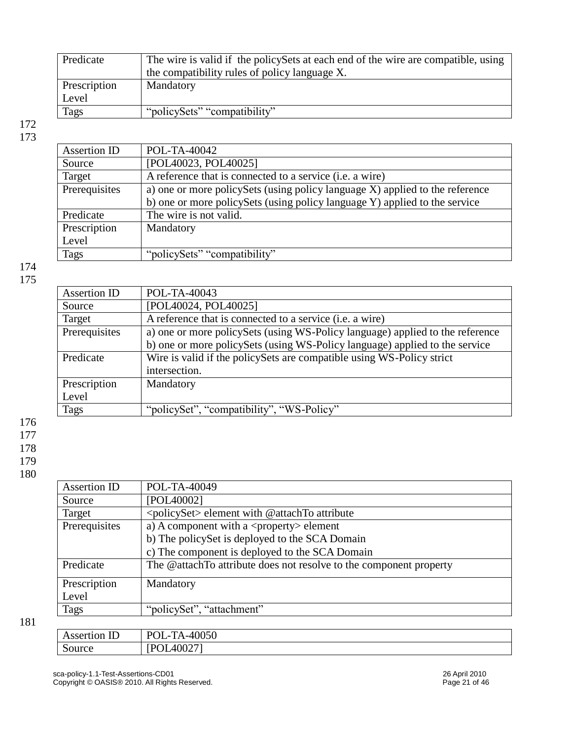| Predicate    | The wire is valid if the policySets at each end of the wire are compatible, using |
|--------------|-----------------------------------------------------------------------------------|
|              | the compatibility rules of policy language X.                                     |
| Prescription | Mandatory                                                                         |
| Level        |                                                                                   |
| <b>Tags</b>  | "policySets" "compatibility"                                                      |

| <b>Assertion ID</b> | POL-TA-40042                                                                  |
|---------------------|-------------------------------------------------------------------------------|
| Source              | [POL40023, POL40025]                                                          |
| Target              | A reference that is connected to a service (i.e. a wire)                      |
| Prerequisites       | a) one or more policy Sets (using policy language X) applied to the reference |
|                     | b) one or more policy Sets (using policy language Y) applied to the service   |
| Predicate           | The wire is not valid.                                                        |
| Prescription        | Mandatory                                                                     |
| Level               |                                                                               |
| <b>Tags</b>         | "policySets" "compatibility"                                                  |

174 175

| Assertion ID  | POL-TA-40043                                                                  |
|---------------|-------------------------------------------------------------------------------|
| Source        | [POL40024, POL40025]                                                          |
| Target        | A reference that is connected to a service (i.e. a wire)                      |
| Prerequisites | a) one or more policySets (using WS-Policy language) applied to the reference |
|               | b) one or more policySets (using WS-Policy language) applied to the service   |
| Predicate     | Wire is valid if the policy Sets are compatible using WS-Policy strict        |
|               | intersection.                                                                 |
| Prescription  | Mandatory                                                                     |
| Level         |                                                                               |
| <b>Tags</b>   | "policySet", "compatibility", "WS-Policy"                                     |

176

177

178

179

180

| <b>Assertion ID</b> | POL-TA-40049                                                       |
|---------------------|--------------------------------------------------------------------|
| Source              | [POL40002]                                                         |
| Target              | <policyset> element with @attachTo attribute</policyset>           |
| Prerequisites       | a) A component with a $\langle$ property $\rangle$ element         |
|                     | b) The policySet is deployed to the SCA Domain                     |
|                     | c) The component is deployed to the SCA Domain                     |
| Predicate           | The @attachTo attribute does not resolve to the component property |
| Prescription        | Mandatory                                                          |
| Level               |                                                                    |
| Tags                | "policySet", "attachment"                                          |
|                     |                                                                    |

| $\overline{ }$<br>Assertion ID | $D\cap I$<br>TA-40050<br>LOL- |
|--------------------------------|-------------------------------|
| Source                         | 40027<br>יט<br>. .            |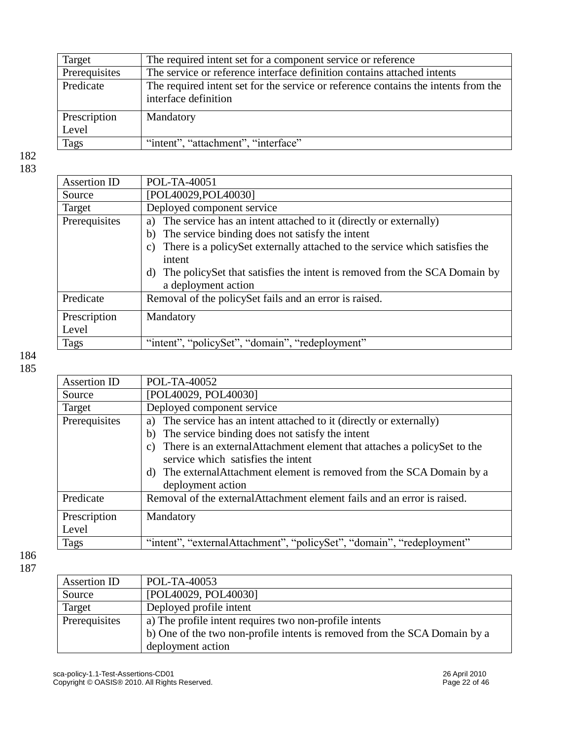| Target        | The required intent set for a component service or reference                                               |
|---------------|------------------------------------------------------------------------------------------------------------|
| Prerequisites | The service or reference interface definition contains attached intents                                    |
| Predicate     | The required intent set for the service or reference contains the intents from the<br>interface definition |
| Prescription  | Mandatory                                                                                                  |
| Level         |                                                                                                            |
| Tags          | "intent", "attachment", "interface"                                                                        |

| Assertion ID  | POL-TA-40051                                                                 |
|---------------|------------------------------------------------------------------------------|
| Source        | [POL40029,POL40030]                                                          |
| Target        | Deployed component service                                                   |
| Prerequisites | The service has an intent attached to it (directly or externally)<br>a)      |
|               | The service binding does not satisfy the intent<br>b)                        |
|               | There is a policy Set externally attached to the service which satisfies the |
|               | intent                                                                       |
|               | The policy Set that satisfies the intent is removed from the SCA Domain by   |
|               | a deployment action                                                          |
| Predicate     | Removal of the policy Set fails and an error is raised.                      |
| Prescription  | Mandatory                                                                    |
| Level         |                                                                              |
|               |                                                                              |
| <b>Tags</b>   | "intent", "policySet", "domain", "redeployment"                              |

184 185

| POL-TA-40052                                                                    |
|---------------------------------------------------------------------------------|
|                                                                                 |
| [POL40029, POL40030]                                                            |
| Deployed component service                                                      |
| a) The service has an intent attached to it (directly or externally)            |
| b) The service binding does not satisfy the intent                              |
| There is an external Attachment element that attaches a policy Set to the<br>C) |
| service which satisfies the intent                                              |
| d) The external Attachment element is removed from the SCA Domain by a          |
| deployment action                                                               |
| Removal of the external Attachment element fails and an error is raised.        |
| Mandatory                                                                       |
|                                                                                 |
| "intent", "externalAttachment", "policySet", "domain", "redeployment"           |
|                                                                                 |

| Assertion ID  | POL-TA-40053                                                              |
|---------------|---------------------------------------------------------------------------|
| Source        | [POL40029, POL40030]                                                      |
| Target        | Deployed profile intent                                                   |
| Prerequisites | a) The profile intent requires two non-profile intents                    |
|               | b) One of the two non-profile intents is removed from the SCA Domain by a |
|               | deployment action                                                         |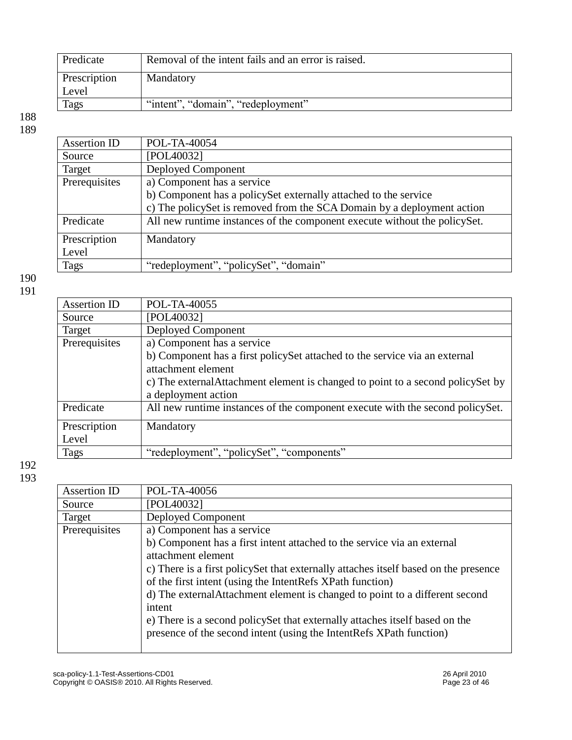| Predicate    | Removal of the intent fails and an error is raised. |
|--------------|-----------------------------------------------------|
| Prescription | Mandatory                                           |
| Level        |                                                     |
| Tags         | "intent", "domain", "redeployment"                  |

| Assertion ID  | POL-TA-40054                                                              |
|---------------|---------------------------------------------------------------------------|
| Source        | [POL40032]                                                                |
| Target        | Deployed Component                                                        |
| Prerequisites | a) Component has a service                                                |
|               | b) Component has a policySet externally attached to the service           |
|               | c) The policySet is removed from the SCA Domain by a deployment action    |
| Predicate     | All new runtime instances of the component execute without the policySet. |
| Prescription  | Mandatory                                                                 |
| Level         |                                                                           |
| Tags          | "redeployment", "policySet", "domain"                                     |

190 191

| Assertion ID  | POL-TA-40055                                                                     |
|---------------|----------------------------------------------------------------------------------|
| Source        | [POL40032]                                                                       |
| Target        | Deployed Component                                                               |
| Prerequisites | a) Component has a service                                                       |
|               | b) Component has a first policySet attached to the service via an external       |
|               | attachment element                                                               |
|               | c) The external Attachment element is changed to point to a second policy Set by |
|               | a deployment action                                                              |
| Predicate     | All new runtime instances of the component execute with the second policySet.    |
| Prescription  | Mandatory                                                                        |
| Level         |                                                                                  |
| <b>Tags</b>   | "redeployment", "policySet", "components"                                        |
|               |                                                                                  |

| Assertion ID  | POL-TA-40056                                                                         |
|---------------|--------------------------------------------------------------------------------------|
| Source        | [POL40032]                                                                           |
| Target        | Deployed Component                                                                   |
| Prerequisites | a) Component has a service                                                           |
|               | b) Component has a first intent attached to the service via an external              |
|               | attachment element                                                                   |
|               | c) There is a first policy Set that externally attaches itself based on the presence |
|               | of the first intent (using the IntentRefs XPath function)                            |
|               | d) The external Attachment element is changed to point to a different second         |
|               | intent                                                                               |
|               | e) There is a second policySet that externally attaches itself based on the          |
|               | presence of the second intent (using the IntentRefs XPath function)                  |
|               |                                                                                      |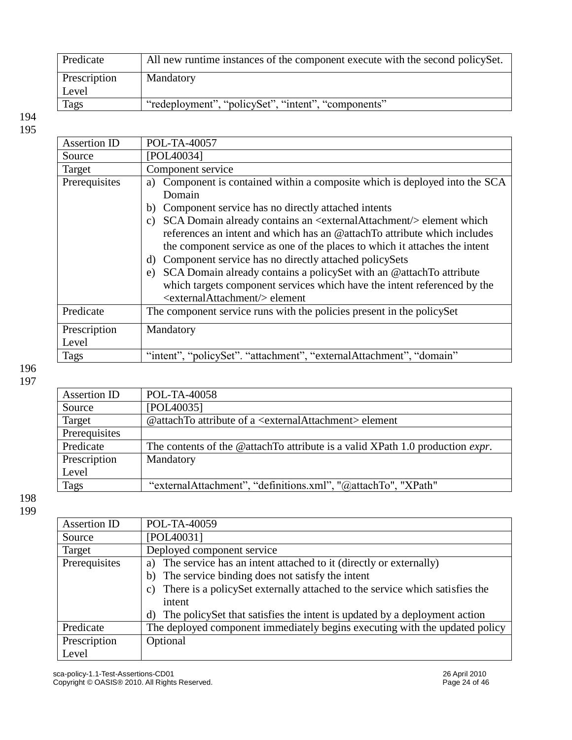| Predicate    | All new runtime instances of the component execute with the second policySet. |
|--------------|-------------------------------------------------------------------------------|
| Prescription | Mandatory                                                                     |
| Level        |                                                                               |
| Tags         | "redeployment", "policySet", "intent", "components"                           |

| Assertion ID  | POL-TA-40057                                                                                                                                                                                                                                                                                                                                                                                                                                                                                                                     |
|---------------|----------------------------------------------------------------------------------------------------------------------------------------------------------------------------------------------------------------------------------------------------------------------------------------------------------------------------------------------------------------------------------------------------------------------------------------------------------------------------------------------------------------------------------|
| Source        | [POL40034]                                                                                                                                                                                                                                                                                                                                                                                                                                                                                                                       |
| Target        | Component service                                                                                                                                                                                                                                                                                                                                                                                                                                                                                                                |
| Prerequisites | a) Component is contained within a composite which is deployed into the SCA<br>Domain<br>b) Component service has no directly attached intents                                                                                                                                                                                                                                                                                                                                                                                   |
|               | SCA Domain already contains an <externalattachment></externalattachment> element which<br>C)<br>references an intent and which has an @attachTo attribute which includes<br>the component service as one of the places to which it attaches the intent<br>d) Component service has no directly attached policySets<br>SCA Domain already contains a policySet with an @attachTo attribute<br>e)<br>which targets component services which have the intent referenced by the<br><externalattachment></externalattachment> element |
| Predicate     | The component service runs with the policies present in the policy Set                                                                                                                                                                                                                                                                                                                                                                                                                                                           |
| Prescription  | Mandatory                                                                                                                                                                                                                                                                                                                                                                                                                                                                                                                        |
| Level         |                                                                                                                                                                                                                                                                                                                                                                                                                                                                                                                                  |
| Tags          | "intent", "policySet". "attachment", "externalAttachment", "domain"                                                                                                                                                                                                                                                                                                                                                                                                                                                              |
|               |                                                                                                                                                                                                                                                                                                                                                                                                                                                                                                                                  |

### 196 197

| Assertion ID  | POL-TA-40058                                                                          |
|---------------|---------------------------------------------------------------------------------------|
| Source        | [POL40035]                                                                            |
| Target        | @attachTo attribute of a <externalattachment> element</externalattachment>            |
| Prerequisites |                                                                                       |
| Predicate     | The contents of the @attachTo attribute is a valid XPath 1.0 production <i>expr</i> . |
| Prescription  | Mandatory                                                                             |
| Level         |                                                                                       |
| Tags          | "externalAttachment", "definitions.xml", "@attachTo", "XPath"                         |

| Assertion ID  | POL-TA-40059                                                                    |
|---------------|---------------------------------------------------------------------------------|
| Source        | [POL40031]                                                                      |
| Target        | Deployed component service                                                      |
| Prerequisites | a) The service has an intent attached to it (directly or externally)            |
|               | b) The service binding does not satisfy the intent                              |
|               | c) There is a policy Set externally attached to the service which satisfies the |
|               | intent                                                                          |
|               | The policySet that satisfies the intent is updated by a deployment action<br>d) |
| Predicate     | The deployed component immediately begins executing with the updated policy     |
| Prescription  | Optional                                                                        |
| Level         |                                                                                 |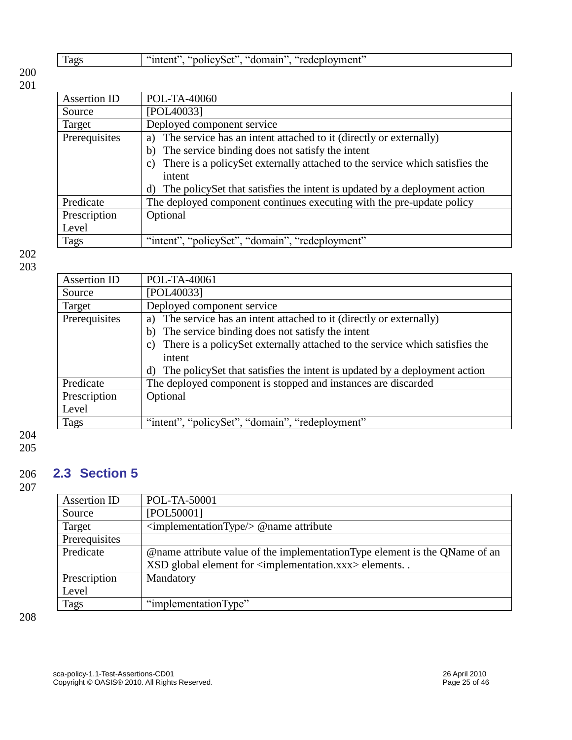| "policySet", "domain",<br>"intent<br>"redeployment"<br>Tags |
|-------------------------------------------------------------|
|-------------------------------------------------------------|

| Assertion ID  | POL-TA-40060                                                                                   |
|---------------|------------------------------------------------------------------------------------------------|
| Source        | [POL40033]                                                                                     |
| Target        | Deployed component service                                                                     |
| Prerequisites | a) The service has an intent attached to it (directly or externally)                           |
|               | The service binding does not satisfy the intent<br>b)                                          |
|               | There is a policySet externally attached to the service which satisfies the<br>$\mathcal{C}$ ) |
|               | intent                                                                                         |
|               | The policy Set that satisfies the intent is updated by a deployment action<br>d)               |
| Predicate     | The deployed component continues executing with the pre-update policy                          |
| Prescription  | Optional                                                                                       |
| Level         |                                                                                                |
| Tags          | "intent", "policySet", "domain", "redeployment"                                                |

202 203

| Assertion ID  | POL-TA-40061                                                                      |
|---------------|-----------------------------------------------------------------------------------|
| Source        | [POL40033]                                                                        |
| Target        | Deployed component service                                                        |
| Prerequisites | a) The service has an intent attached to it (directly or externally)              |
|               | The service binding does not satisfy the intent<br>b)                             |
|               | There is a policySet externally attached to the service which satisfies the<br>C) |
|               | intent                                                                            |
|               | The policy Set that satisfies the intent is updated by a deployment action<br>d)  |
| Predicate     | The deployed component is stopped and instances are discarded                     |
| Prescription  | Optional                                                                          |
| Level         |                                                                                   |
| Tags          | "intent", "policySet", "domain", "redeployment"                                   |
|               |                                                                                   |

204 205

<span id="page-24-0"></span>

## 206 **2.3 Section 5**

207

| <b>Assertion ID</b> | POL-TA-50001                                                                |
|---------------------|-----------------------------------------------------------------------------|
| Source              | [POL50001]                                                                  |
| Target              | $\langle$ implementationType $\rangle$ @ name attribute                     |
| Prerequisites       |                                                                             |
| Predicate           | @name attribute value of the implementation Type element is the QName of an |
|                     | $XSD$ global element for $\langle$ implementation.xxx $\rangle$ elements    |
| Prescription        | Mandatory                                                                   |
| Level               |                                                                             |
| Tags                | "implementationType"                                                        |
|                     |                                                                             |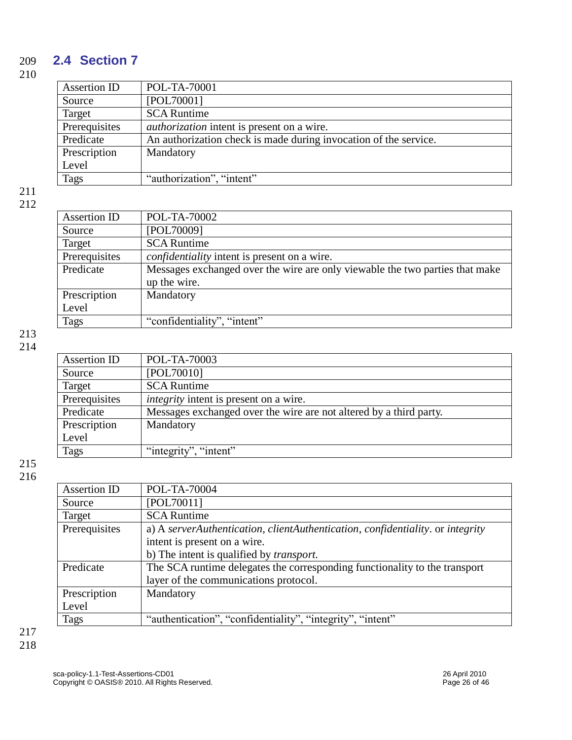### 209 **2.4 Section 7**

210

<span id="page-25-0"></span>

| Assertion ID  | POL-TA-70001                                                     |
|---------------|------------------------------------------------------------------|
| Source        | [POL70001]                                                       |
| Target        | <b>SCA Runtime</b>                                               |
| Prerequisites | <i>authorization</i> intent is present on a wire.                |
| Predicate     | An authorization check is made during invocation of the service. |
| Prescription  | Mandatory                                                        |
| Level         |                                                                  |
| <b>Tags</b>   | "authorization", "intent"                                        |

#### 211 212

| Assertion ID  | POL-TA-70002                                                                 |
|---------------|------------------------------------------------------------------------------|
| Source        | [POL70009]                                                                   |
| Target        | <b>SCA Runtime</b>                                                           |
| Prerequisites | <i>confidentiality</i> intent is present on a wire.                          |
| Predicate     | Messages exchanged over the wire are only viewable the two parties that make |
|               | up the wire.                                                                 |
| Prescription  | Mandatory                                                                    |
| Level         |                                                                              |
| <b>Tags</b>   | "confidentiality", "intent"                                                  |

#### 213 214

| Assertion ID  | POL-TA-70003                                                       |
|---------------|--------------------------------------------------------------------|
| Source        | [POL70010]                                                         |
| Target        | <b>SCA Runtime</b>                                                 |
| Prerequisites | <i>integrity</i> intent is present on a wire.                      |
| Predicate     | Messages exchanged over the wire are not altered by a third party. |
| Prescription  | Mandatory                                                          |
| Level         |                                                                    |
| Tags          | "integrity", "intent"                                              |

| Assertion ID  | POL-TA-70004                                                                   |
|---------------|--------------------------------------------------------------------------------|
| Source        | [POL70011]                                                                     |
| Target        | <b>SCA Runtime</b>                                                             |
| Prerequisites | a) A serverAuthentication, clientAuthentication, confidentiality. or integrity |
|               | intent is present on a wire.                                                   |
|               | b) The intent is qualified by <i>transport</i> .                               |
| Predicate     | The SCA runtime delegates the corresponding functionality to the transport     |
|               | layer of the communications protocol.                                          |
| Prescription  | Mandatory                                                                      |
| Level         |                                                                                |
| Tags          | "authentication", "confidentiality", "integrity", "intent"                     |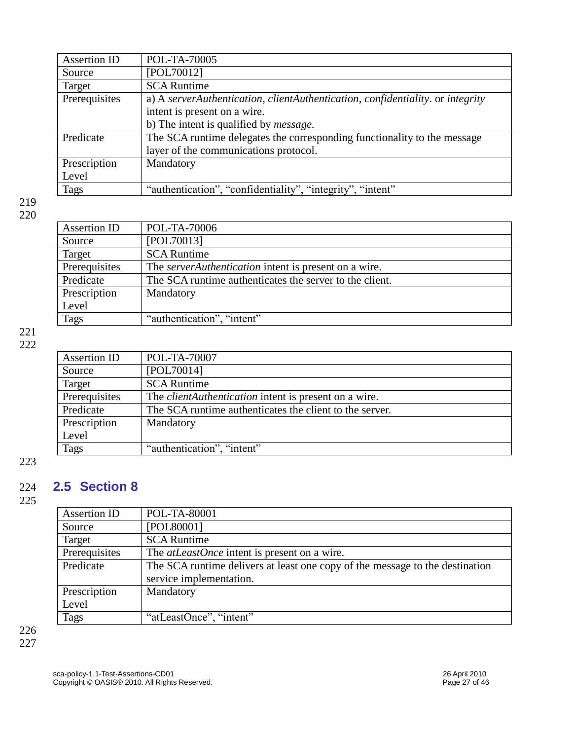| Assertion ID  | POL-TA-70005                                                                   |
|---------------|--------------------------------------------------------------------------------|
| Source        | [POL70012]                                                                     |
| Target        | <b>SCA Runtime</b>                                                             |
| Prerequisites | a) A serverAuthentication, clientAuthentication, confidentiality. or integrity |
|               | intent is present on a wire.                                                   |
|               | b) The intent is qualified by <i>message</i> .                                 |
| Predicate     | The SCA runtime delegates the corresponding functionality to the message       |
|               | layer of the communications protocol.                                          |
| Prescription  | Mandatory                                                                      |
| Level         |                                                                                |
| Tags          | "authentication", "confidentiality", "integrity", "intent"                     |

| Assertion ID  | POL-TA-70006                                                 |
|---------------|--------------------------------------------------------------|
| Source        | [POL70013]                                                   |
| Target        | <b>SCA Runtime</b>                                           |
| Prerequisites | The <i>serverAuthentication</i> intent is present on a wire. |
| Predicate     | The SCA runtime authenticates the server to the client.      |
| Prescription  | Mandatory                                                    |
| Level         |                                                              |
| <b>Tags</b>   | "authentication", "intent"                                   |

### 221 222

| Assertion ID  | POL-TA-70007                                                 |
|---------------|--------------------------------------------------------------|
| Source        | [POL70014]                                                   |
| Target        | <b>SCA Runtime</b>                                           |
| Prerequisites | The <i>clientAuthentication</i> intent is present on a wire. |
| Predicate     | The SCA runtime authenticates the client to the server.      |
| Prescription  | Mandatory                                                    |
| Level         |                                                              |
| Tags          | "authentication", "intent"                                   |

### 223

## <span id="page-26-0"></span>224 **2.5 Section 8**

225

| Assertion ID  | POL-TA-80001                                                                 |
|---------------|------------------------------------------------------------------------------|
| Source        | [POL80001]                                                                   |
| Target        | <b>SCA Runtime</b>                                                           |
| Prerequisites | The <i>atLeastOnce</i> intent is present on a wire.                          |
| Predicate     | The SCA runtime delivers at least one copy of the message to the destination |
|               | service implementation.                                                      |
| Prescription  | Mandatory                                                                    |
| Level         |                                                                              |
| <b>Tags</b>   | "atLeastOnce", "intent"                                                      |
|               |                                                                              |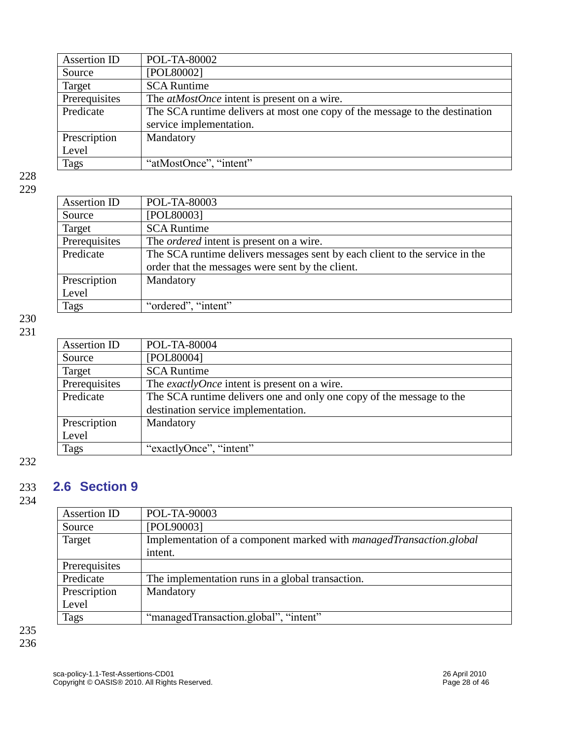| Assertion ID  | POL-TA-80002                                                                |
|---------------|-----------------------------------------------------------------------------|
| Source        | [POL80002]                                                                  |
| Target        | <b>SCA Runtime</b>                                                          |
| Prerequisites | The <i>atMostOnce</i> intent is present on a wire.                          |
| Predicate     | The SCA runtime delivers at most one copy of the message to the destination |
|               | service implementation.                                                     |
| Prescription  | Mandatory                                                                   |
| Level         |                                                                             |
| Tags          | "atMostOnce", "intent"                                                      |

| v |
|---|
|---|

| Assertion ID  | POL-TA-80003                                                                |
|---------------|-----------------------------------------------------------------------------|
| Source        | [POL80003]                                                                  |
| Target        | <b>SCA Runtime</b>                                                          |
| Prerequisites | The <i>ordered</i> intent is present on a wire.                             |
| Predicate     | The SCA runtime delivers messages sent by each client to the service in the |
|               | order that the messages were sent by the client.                            |
| Prescription  | Mandatory                                                                   |
| Level         |                                                                             |
| Tags          | "ordered", "intent"                                                         |

### 230 231

| Assertion ID  | POL-TA-80004                                                         |
|---------------|----------------------------------------------------------------------|
| Source        | [POL80004]                                                           |
| Target        | <b>SCA Runtime</b>                                                   |
| Prerequisites | The <i>exactlyOnce</i> intent is present on a wire.                  |
| Predicate     | The SCA runtime delivers one and only one copy of the message to the |
|               | destination service implementation.                                  |
| Prescription  | Mandatory                                                            |
| Level         |                                                                      |
| Tags          | "exactlyOnce", "intent"                                              |

### 232

## <span id="page-27-0"></span>233 **2.6 Section 9**

234

| Assertion ID  | POL-TA-90003                                                        |
|---------------|---------------------------------------------------------------------|
| Source        | [POL90003]                                                          |
| Target        | Implementation of a component marked with managedTransaction.global |
|               | intent.                                                             |
| Prerequisites |                                                                     |
| Predicate     | The implementation runs in a global transaction.                    |
| Prescription  | Mandatory                                                           |
| Level         |                                                                     |
| Tags          | "managedTransaction.global", "intent"                               |
|               |                                                                     |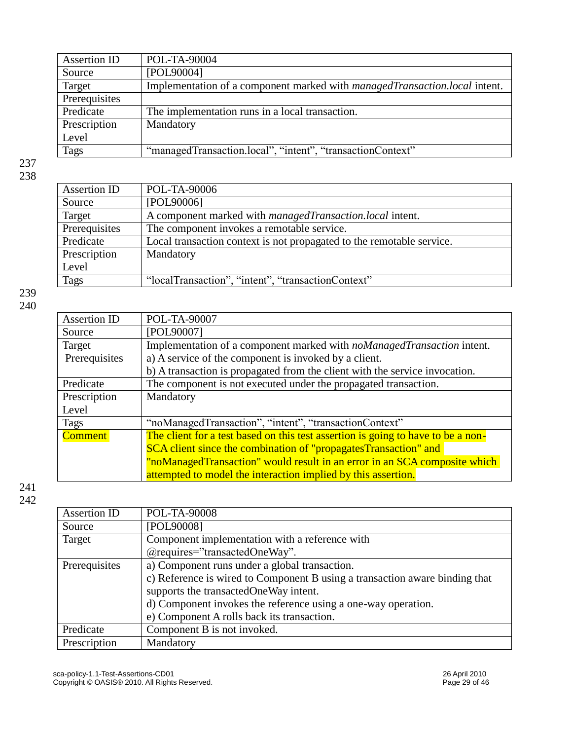| Assertion ID  | POL-TA-90004                                                                      |
|---------------|-----------------------------------------------------------------------------------|
| Source        | [POL90004]                                                                        |
| Target        | Implementation of a component marked with <i>managedTransaction.local</i> intent. |
| Prerequisites |                                                                                   |
| Predicate     | The implementation runs in a local transaction.                                   |
| Prescription  | Mandatory                                                                         |
| Level         |                                                                                   |
| <b>Tags</b>   | "managedTransaction.local", "intent", "transactionContext"                        |

| Assertion ID  | POL-TA-90006                                                          |
|---------------|-----------------------------------------------------------------------|
| Source        | [POL90006]                                                            |
| Target        | A component marked with <i>managedTransaction.local</i> intent.       |
| Prerequisites | The component invokes a remotable service.                            |
| Predicate     | Local transaction context is not propagated to the remotable service. |
| Prescription  | Mandatory                                                             |
| Level         |                                                                       |
| <b>Tags</b>   | "localTransaction", "intent", "transactionContext"                    |
|               |                                                                       |

239 240

| <b>Assertion ID</b> | POL-TA-90007                                                                     |
|---------------------|----------------------------------------------------------------------------------|
| Source              | [POL90007]                                                                       |
| Target              | Implementation of a component marked with <i>noManagedTransaction</i> intent.    |
| Prerequisites       | a) A service of the component is invoked by a client.                            |
|                     | b) A transaction is propagated from the client with the service invocation.      |
| Predicate           | The component is not executed under the propagated transaction.                  |
| Prescription        | Mandatory                                                                        |
| Level               |                                                                                  |
| Tags                | "noManagedTransaction", "intent", "transactionContext"                           |
| <b>Comment</b>      | The client for a test based on this test assertion is going to have to be a non- |
|                     | SCA client since the combination of "propagatesTransaction" and                  |
|                     | "noManagedTransaction" would result in an error in an SCA composite which        |
|                     | attempted to model the interaction implied by this assertion.                    |
|                     |                                                                                  |

| Assertion ID  | POL-TA-90008                                                                |
|---------------|-----------------------------------------------------------------------------|
| Source        | [POL90008]                                                                  |
| Target        | Component implementation with a reference with                              |
|               | $@$ requires="transactedOneWay".                                            |
| Prerequisites | a) Component runs under a global transaction.                               |
|               | c) Reference is wired to Component B using a transaction aware binding that |
|               | supports the transacted One Way intent.                                     |
|               | d) Component invokes the reference using a one-way operation.               |
|               | e) Component A rolls back its transaction.                                  |
| Predicate     | Component B is not invoked.                                                 |
| Prescription  | Mandatory                                                                   |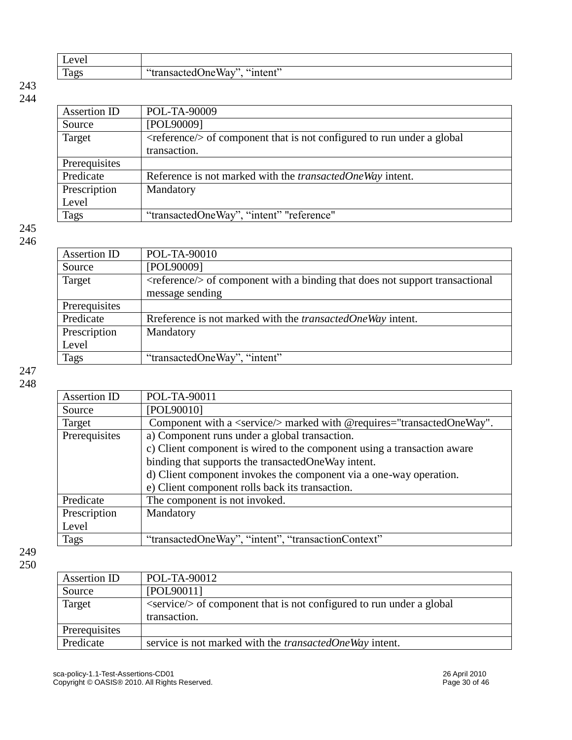| $\mathbf{r}$<br>ever<br>⊥∿ |                                                 |
|----------------------------|-------------------------------------------------|
| Tags                       | $\sim$<br>.<br>$\ddotsc$ and $\ddotsc$<br>THULL |

| Assertion ID  | POL-TA-90009                                                                             |
|---------------|------------------------------------------------------------------------------------------|
| Source        | [POL90009]                                                                               |
| Target        | $\langle$ reference/ $\rangle$ of component that is not configured to run under a global |
|               | transaction.                                                                             |
| Prerequisites |                                                                                          |
| Predicate     | Reference is not marked with the <i>transactedOneWay</i> intent.                         |
| Prescription  | Mandatory                                                                                |
| Level         |                                                                                          |
| Tags          | "transactedOneWay", "intent" "reference"                                                 |

### 245 246

| Assertion ID  | POL-TA-90010                                                                            |
|---------------|-----------------------------------------------------------------------------------------|
| Source        | [POL90009]                                                                              |
| Target        | $\leq$ reference $\geq$ of component with a binding that does not support transactional |
|               | message sending                                                                         |
| Prerequisites |                                                                                         |
| Predicate     | Reference is not marked with the <i>transactedOneWay</i> intent.                        |
| Prescription  | Mandatory                                                                               |
| Level         |                                                                                         |
| <b>Tags</b>   | "transactedOneWay", "intent"                                                            |
|               |                                                                                         |

247 248

| POL-TA-90011                                                                   |
|--------------------------------------------------------------------------------|
| [POL90010]                                                                     |
| Component with a <service></service> marked with @requires="transactedOneWay". |
| a) Component runs under a global transaction.                                  |
| c) Client component is wired to the component using a transaction aware        |
| binding that supports the transactedOneWay intent.                             |
| d) Client component invokes the component via a one-way operation.             |
| e) Client component rolls back its transaction.                                |
| The component is not invoked.                                                  |
| Mandatory                                                                      |
|                                                                                |
| "transactedOneWay", "intent", "transactionContext"                             |
|                                                                                |

| Assertion ID  | POL-TA-90012                                                                           |
|---------------|----------------------------------------------------------------------------------------|
| Source        | [POL90011]                                                                             |
| Target        | $\langle$ service/ $\rangle$ of component that is not configured to run under a global |
|               | transaction.                                                                           |
| Prerequisites |                                                                                        |
| Predicate     | service is not marked with the <i>transactedOneWay</i> intent.                         |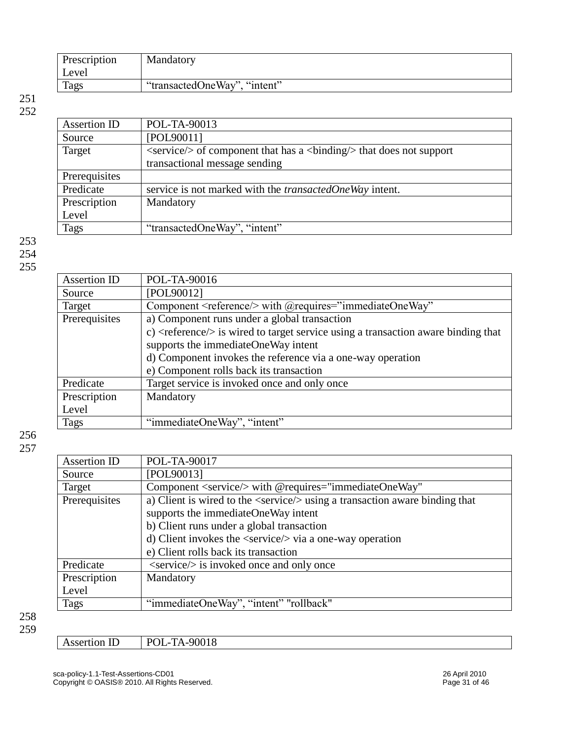| Prescription | Mandatory                    |
|--------------|------------------------------|
| Level        |                              |
| Tags         | "transactedOneWay", "intent" |

| Assertion ID  | POL-TA-90013                                                                                            |
|---------------|---------------------------------------------------------------------------------------------------------|
| Source        | [POL90011]                                                                                              |
| Target        | $\langle$ service/ $\rangle$ of component that has a $\langle$ binding/ $\rangle$ that does not support |
|               | transactional message sending                                                                           |
| Prerequisites |                                                                                                         |
| Predicate     | service is not marked with the <i>transactedOneWay</i> intent.                                          |
| Prescription  | Mandatory                                                                                               |
| Level         |                                                                                                         |
| <b>Tags</b>   | "transactedOneWay", "intent"                                                                            |
|               |                                                                                                         |

253 254 255

| Assertion ID  | POL-TA-90016                                                                                       |
|---------------|----------------------------------------------------------------------------------------------------|
| Source        | [POL90012]                                                                                         |
| Target        | Component <reference></reference> with @requires="immediateOneWay"                                 |
| Prerequisites | a) Component runs under a global transaction                                                       |
|               | c) $\langle$ reference $\rangle$ is wired to target service using a transaction aware binding that |
|               | supports the immediateOneWay intent                                                                |
|               | d) Component invokes the reference via a one-way operation                                         |
|               | e) Component rolls back its transaction                                                            |
| Predicate     | Target service is invoked once and only once                                                       |
| Prescription  | Mandatory                                                                                          |
| Level         |                                                                                                    |
| Tags          | "immediateOneWay", "intent"                                                                        |

| <b>Assertion ID</b> | POL-TA-90017                                                                         |
|---------------------|--------------------------------------------------------------------------------------|
| Source              | [POL90013]                                                                           |
| Target              | Component <service></service> with @requires="immediateOneWay"                       |
| Prerequisites       | a) Client is wired to the <service></service> using a transaction aware binding that |
|                     | supports the immediateOneWay intent                                                  |
|                     | b) Client runs under a global transaction                                            |
|                     | d) Client invokes the $\langle$ service $\rangle$ via a one-way operation            |
|                     | e) Client rolls back its transaction                                                 |
| Predicate           | <service></service> is invoked once and only once                                    |
| Prescription        | Mandatory                                                                            |
| Level               |                                                                                      |
| Tags                | "immediateOneWay", "intent" "rollback"                                               |
|                     |                                                                                      |

| $\sim$<br>∸ | 00019<br>$T^{\Lambda}$<br>D <sub>(</sub><br>ΛI<br>17-90010<br>◡◡ |
|-------------|------------------------------------------------------------------|
|             |                                                                  |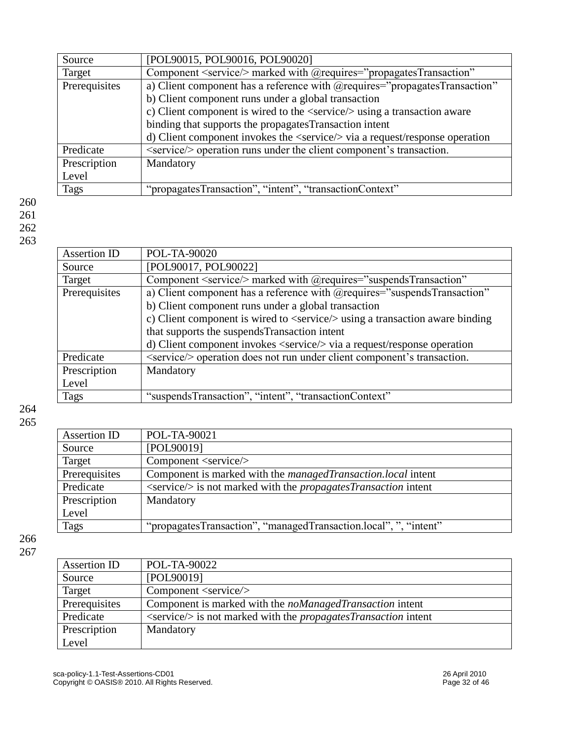| Source        | [POL90015, POL90016, POL90020]                                                               |
|---------------|----------------------------------------------------------------------------------------------|
| Target        | Component <service></service> marked with @requires="propagatesTransaction"                  |
| Prerequisites | a) Client component has a reference with @requires="propagatesTransaction"                   |
|               | b) Client component runs under a global transaction                                          |
|               | c) Client component is wired to the <service></service> using a transaction aware            |
|               | binding that supports the propagatesTransaction intent                                       |
|               | d) Client component invokes the $\langle$ service $\rangle$ via a request/response operation |
| Predicate     | <service></service> operation runs under the client component's transaction.                 |
| Prescription  | Mandatory                                                                                    |
| Level         |                                                                                              |
| Tags          | "propagatesTransaction", "intent", "transactionContext"                                      |
|               |                                                                                              |

### Assertion ID POL-TA-90020 Source [POL90017, POL90022] Target Component <service/> marked with @requires="suspendsTransaction" Prerequisites a) Client component has a reference with @requires="suspendsTransaction" b) Client component runs under a global transaction c) Client component is wired to <service/> using a transaction aware binding that supports the suspendsTransaction intent d) Client component invokes <service/> via a request/response operation Predicate  $\leq$   $\leq$   $\leq$   $\leq$   $\leq$   $\leq$   $\leq$   $\leq$   $\leq$   $\leq$   $\leq$   $\leq$   $\leq$   $\leq$   $\leq$   $\leq$   $\leq$   $\leq$   $\leq$   $\leq$   $\leq$   $\leq$   $\leq$   $\leq$   $\leq$   $\leq$   $\leq$   $\leq$   $\leq$   $\leq$   $\leq$   $\leq$   $\leq$   $\leq$   $\leq$   $\$ Prescription Level Mandatory Tags "suspendsTransaction", "intent", "transactionContext"

264 265

| Assertion ID  | POL-TA-90021                                                                           |
|---------------|----------------------------------------------------------------------------------------|
| Source        | [POL90019]                                                                             |
| Target        | Component <service></service>                                                          |
| Prerequisites | Component is marked with the managedTransaction.local intent                           |
| Predicate     | $\langle$ service $\rangle$ is not marked with the <i>propagatesTransaction</i> intent |
| Prescription  | Mandatory                                                                              |
| Level         |                                                                                        |
| Tags          | "propagatesTransaction", "managedTransaction.local", ", "intent"                       |

| Assertion ID  | POL-TA-90022                                                                           |
|---------------|----------------------------------------------------------------------------------------|
| Source        | [POL90019]                                                                             |
| Target        | Component <service< td=""></service<>                                                  |
| Prerequisites | Component is marked with the <i>noManagedTransaction</i> intent                        |
| Predicate     | $\langle$ service $\rangle$ is not marked with the <i>propagatesTransaction</i> intent |
| Prescription  | Mandatory                                                                              |
| Level         |                                                                                        |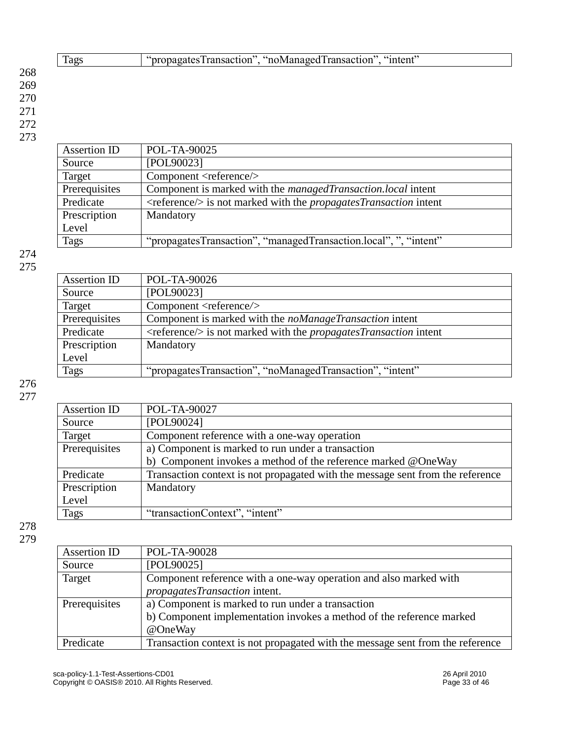|     | Tags | "propagatesTransaction", "noManagedTransaction", "intent" |
|-----|------|-----------------------------------------------------------|
| 268 |      |                                                           |
| 269 |      |                                                           |
| 270 |      |                                                           |
| 271 |      |                                                           |
| 272 |      |                                                           |
| 273 |      |                                                           |

| Assertion ID  | POL-TA-90025                                                                             |
|---------------|------------------------------------------------------------------------------------------|
| Source        | [POL90023]                                                                               |
| Target        | Component <reference></reference>                                                        |
| Prerequisites | Component is marked with the managedTransaction.local intent                             |
| Predicate     | $\langle$ reference $\rangle$ is not marked with the <i>propagatesTransaction</i> intent |
| Prescription  | Mandatory                                                                                |
| Level         |                                                                                          |
| <b>Tags</b>   | "propagatesTransaction", "managedTransaction.local", ", "intent"                         |

| Assertion ID  | POL-TA-90026                                                                             |
|---------------|------------------------------------------------------------------------------------------|
| Source        | [POL90023]                                                                               |
| Target        | Component <reference></reference>                                                        |
| Prerequisites | Component is marked with the <i>noManageTransaction</i> intent                           |
| Predicate     | $\langle$ reference $\rangle$ is not marked with the <i>propagatesTransaction</i> intent |
| Prescription  | Mandatory                                                                                |
| Level         |                                                                                          |
| <b>Tags</b>   | "propagatesTransaction", "noManagedTransaction", "intent"                                |
|               |                                                                                          |

276 277

| Assertion ID  | POL-TA-90027                                                                   |  |
|---------------|--------------------------------------------------------------------------------|--|
| Source        | [POL90024]                                                                     |  |
| Target        | Component reference with a one-way operation                                   |  |
| Prerequisites | a) Component is marked to run under a transaction                              |  |
|               | b) Component invokes a method of the reference marked @OneWay                  |  |
| Predicate     | Transaction context is not propagated with the message sent from the reference |  |
| Prescription  | Mandatory                                                                      |  |
| Level         |                                                                                |  |
| Tags          | "transactionContext", "intent"                                                 |  |

| Assertion ID  | POL-TA-90028                                                                   |
|---------------|--------------------------------------------------------------------------------|
| Source        | [POL90025]                                                                     |
| Target        | Component reference with a one-way operation and also marked with              |
|               | propagatesTransaction intent.                                                  |
| Prerequisites | a) Component is marked to run under a transaction                              |
|               | b) Component implementation invokes a method of the reference marked           |
|               | @OneWay                                                                        |
| Predicate     | Transaction context is not propagated with the message sent from the reference |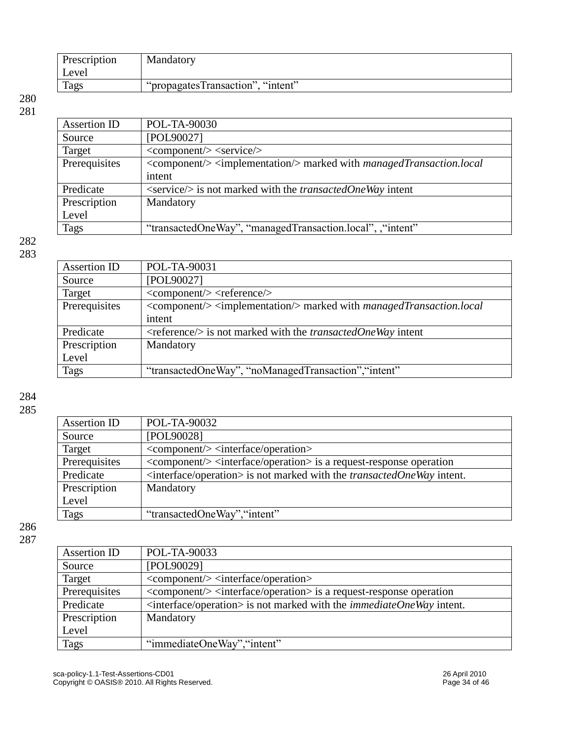| Prescription | Mandatory                         |
|--------------|-----------------------------------|
| Level        |                                   |
| <b>Tags</b>  | "propagatesTransaction", "intent" |

| Assertion ID  | POL-TA-90030                                                                                   |
|---------------|------------------------------------------------------------------------------------------------|
| Source        | [POL90027]                                                                                     |
| Target        | $\langle \text{component} \rangle \rangle \langle \text{service} \rangle$                      |
| Prerequisites | <component></component> <implementation></implementation> marked with managedTransaction.local |
|               | intent                                                                                         |
| Predicate     | <service></service> is not marked with the <i>transactedOneWay</i> intent                      |
| Prescription  | Mandatory                                                                                      |
| Level         |                                                                                                |
| Tags          | "transactedOneWay", "managedTransaction.local", "intent"                                       |

### 282 283

| POL-TA-90031                                                                                   |
|------------------------------------------------------------------------------------------------|
| [POL90027]                                                                                     |
| $\langle \text{component} \rangle > \langle \text{reference} \rangle$                          |
| <component> <implementation> marked with managedTransaction.local</implementation></component> |
| intent                                                                                         |
| $\langle$ reference/ $\rangle$ is not marked with the <i>transactedOneWay</i> intent           |
| Mandatory                                                                                      |
|                                                                                                |
| "transactedOneWay", "noManagedTransaction", "intent"                                           |
|                                                                                                |

284

285

| Assertion ID  | POL-TA-90032                                                                                 |
|---------------|----------------------------------------------------------------------------------------------|
| Source        | [POL90028]                                                                                   |
| Target        | <component></component> <interface operation=""></interface>                                 |
| Prerequisites | <component></component> <interface operation=""> is a request-response operation</interface> |
| Predicate     | $\langle$ interface/operation> is not marked with the <i>transactedOneWay</i> intent.        |
| Prescription  | Mandatory                                                                                    |
| Level         |                                                                                              |
| Tags          | "transactedOneWay", "intent"                                                                 |

| Assertion ID  | POL-TA-90033                                                                                 |
|---------------|----------------------------------------------------------------------------------------------|
| Source        | [POL90029]                                                                                   |
| Target        | $\langle \text{component} \rangle$ $\langle \text{interface} / \text{operation} \rangle$     |
| Prerequisites | <component></component> <interface operation=""> is a request-response operation</interface> |
| Predicate     | $\leq$ interface/operation> is not marked with the <i>immediateOneWay</i> intent.            |
| Prescription  | Mandatory                                                                                    |
| Level         |                                                                                              |
| <b>Tags</b>   | "immediateOneWay", "intent"                                                                  |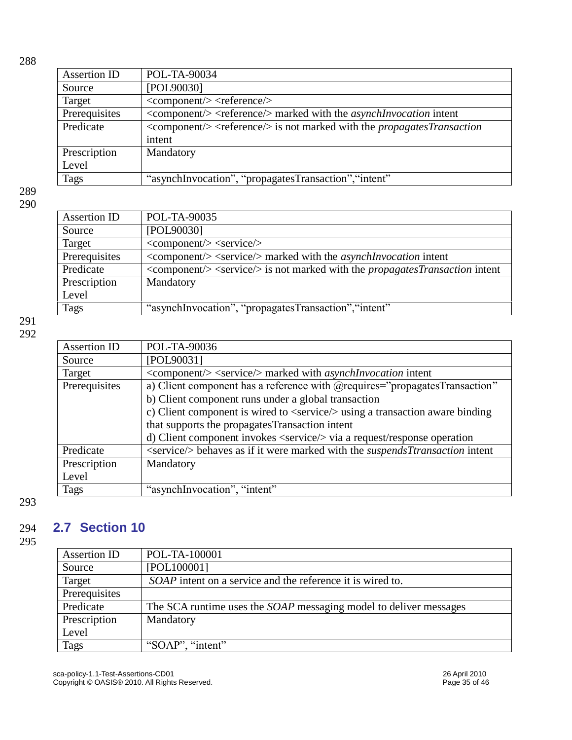| ×<br>۰, | ×<br>۰, |
|---------|---------|

| Assertion ID  | POL-TA-90034                                                                                                             |
|---------------|--------------------------------------------------------------------------------------------------------------------------|
| Source        | [POL90030]                                                                                                               |
| Target        | $\langle \text{component} \rangle > \langle \text{reference} \rangle$                                                    |
| Prerequisites | $\langle \text{component}\rangle \rangle \langle \text{reference}\rangle$ marked with the <i>asynchlnvocation</i> intent |
| Predicate     | $\langle \text{component}\rangle$ $\langle$ reference $\rangle$ is not marked with the <i>propagates Transaction</i>     |
|               | intent                                                                                                                   |
| Prescription  | Mandatory                                                                                                                |
| Level         |                                                                                                                          |
| Tags          | "asynchInvocation", "propagatesTransaction", "intent"                                                                    |

| Assertion ID  | POL-TA-90035                                                                                                               |
|---------------|----------------------------------------------------------------------------------------------------------------------------|
| Source        | [POL90030]                                                                                                                 |
| Target        | $\langle \text{component} \rangle \rangle \langle \text{service} \rangle$                                                  |
| Prerequisites | <component></component> <service></service> marked with the <i>asynchlnvocation</i> intent                                 |
| Predicate     | $\langle \text{component}\rangle \langle \text{service}\rangle$ is not marked with the <i>propagatesTransaction</i> intent |
| Prescription  | Mandatory                                                                                                                  |
| Level         |                                                                                                                            |
| <b>Tags</b>   | "asynchInvocation", "propagatesTransaction", "intent"                                                                      |

### 291 292

| Assertion ID  | POL-TA-90036                                                                                 |
|---------------|----------------------------------------------------------------------------------------------|
| Source        | [POL90031]                                                                                   |
| Target        | <component></component> <service></service> marked with <i>asynchlnvocation</i> intent       |
| Prerequisites | a) Client component has a reference with @requires="propagatesTransaction"                   |
|               | b) Client component runs under a global transaction                                          |
|               | c) Client component is wired to <service></service> using a transaction aware binding        |
|               | that supports the propagates Transaction intent                                              |
|               | d) Client component invokes <service></service> via a request/response operation             |
| Predicate     | <service></service> behaves as if it were marked with the <i>suspendsTtransaction</i> intent |
| Prescription  | Mandatory                                                                                    |
| Level         |                                                                                              |
| <b>Tags</b>   | "asynchInvocation", "intent"                                                                 |

293

## <span id="page-34-0"></span>294 **2.7 Section 10**

| Assertion ID  | POL-TA-100001                                                            |
|---------------|--------------------------------------------------------------------------|
| Source        | [POL100001]                                                              |
| Target        | <i>SOAP</i> intent on a service and the reference it is wired to.        |
| Prerequisites |                                                                          |
| Predicate     | The SCA runtime uses the <i>SOAP</i> messaging model to deliver messages |
| Prescription  | Mandatory                                                                |
| Level         |                                                                          |
| Tags          | "SOAP", "intent"                                                         |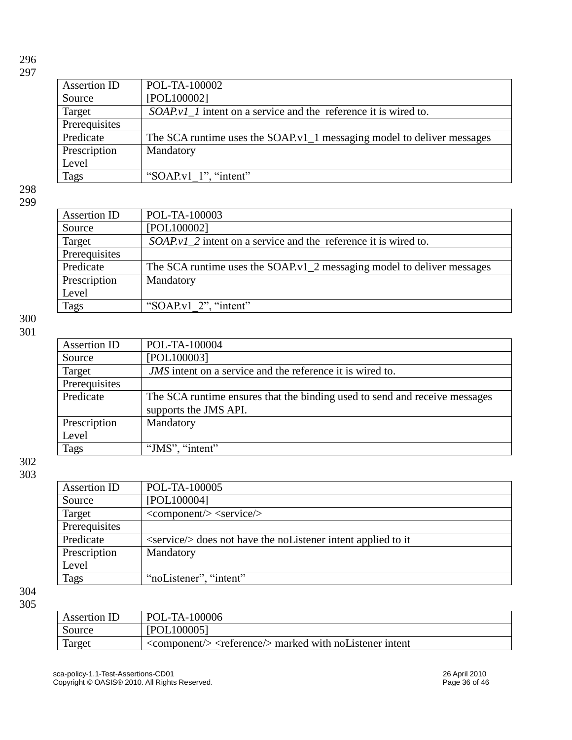| Assertion ID  | POL-TA-100002                                                          |
|---------------|------------------------------------------------------------------------|
| Source        | [POL100002]                                                            |
| Target        | <i>SOAP.v1</i> 1 intent on a service and the reference it is wired to. |
| Prerequisites |                                                                        |
| Predicate     | The SCA runtime uses the SOAP v1_1 messaging model to deliver messages |
| Prescription  | Mandatory                                                              |
| Level         |                                                                        |
| <b>Tags</b>   | "SOAP.v1 $1$ ", "intent"                                               |

298 299

| Assertion ID  | POL-TA-100003                                                          |
|---------------|------------------------------------------------------------------------|
| Source        | [POL100002]                                                            |
| Target        | SOAP v1_2 intent on a service and the reference it is wired to.        |
| Prerequisites |                                                                        |
| Predicate     | The SCA runtime uses the SOAP v1_2 messaging model to deliver messages |
| Prescription  | Mandatory                                                              |
| Level         |                                                                        |
| <b>Tags</b>   | "SOAP.v1 $2$ ", "intent"                                               |

300 301

| Assertion ID  | POL-TA-100004                                                              |
|---------------|----------------------------------------------------------------------------|
| Source        | [POL100003]                                                                |
| Target        | <i>JMS</i> intent on a service and the reference it is wired to.           |
| Prerequisites |                                                                            |
| Predicate     | The SCA runtime ensures that the binding used to send and receive messages |
|               | supports the JMS API.                                                      |
| Prescription  | Mandatory                                                                  |
| Level         |                                                                            |
| Tags          | "JMS", "intent"                                                            |
|               |                                                                            |

302 303

| Assertion ID  | POL-TA-100005                                                                   |
|---------------|---------------------------------------------------------------------------------|
| Source        | [POL100004]                                                                     |
| Target        | $\langle \text{component} \rangle \rangle \langle \text{service} \rangle$       |
| Prerequisites |                                                                                 |
| Predicate     | $\langle$ service/ $\rangle$ does not have the no Listener intent applied to it |
| Prescription  | Mandatory                                                                       |
| Level         |                                                                                 |
| Tags          | "noListener", "intent"                                                          |

| Assertion ID | POL-TA-100006                                                                                      |
|--------------|----------------------------------------------------------------------------------------------------|
| Source       | [POL100005]                                                                                        |
| Target       | $\langle \text{component}\rangle$ $\langle \text{reference}\rangle$ marked with no Listener intent |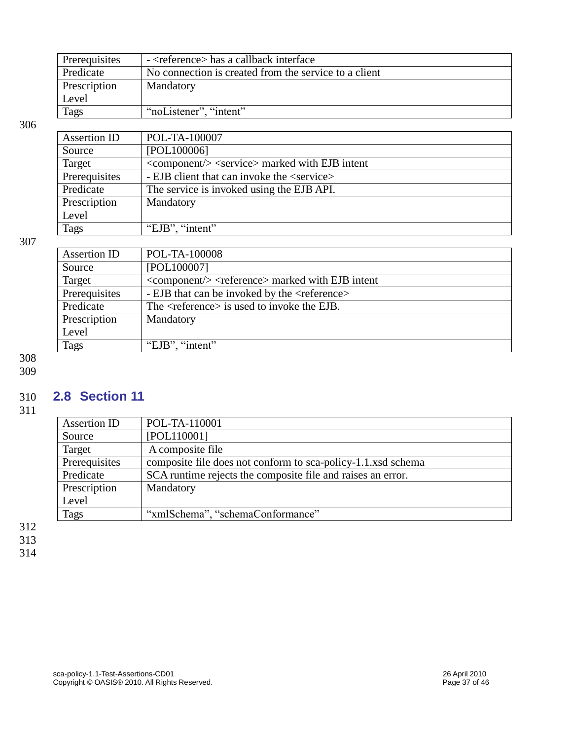| Prerequisites | - <reference> has a callback interface</reference>    |
|---------------|-------------------------------------------------------|
| Predicate     | No connection is created from the service to a client |
| Prescription  | Mandatory                                             |
| Level         |                                                       |
| <b>Tags</b>   | "noListener", "intent"                                |

| Assertion ID  | POL-TA-100007                                                      |
|---------------|--------------------------------------------------------------------|
| Source        | [POL100006]                                                        |
| Target        | <component></component> <service> marked with EJB intent</service> |
| Prerequisites | - EJB client that can invoke the <service></service>               |
| Predicate     | The service is invoked using the EJB API.                          |
| Prescription  | Mandatory                                                          |
| Level         |                                                                    |
| <b>Tags</b>   | "EJB", "intent"                                                    |
|               |                                                                    |

### 307

| Assertion ID  | POL-TA-100008                                                                                |
|---------------|----------------------------------------------------------------------------------------------|
| Source        | [POL100007]                                                                                  |
| Target        | $\langle \text{component} \rangle$ $\langle \text{reference} \rangle$ marked with EJB intent |
| Prerequisites | - EJB that can be invoked by the <reference></reference>                                     |
| Predicate     | The <reference> is used to invoke the EJB.</reference>                                       |
| Prescription  | Mandatory                                                                                    |
| Level         |                                                                                              |
| Tags          | "EJB", "intent"                                                                              |

308 309

### <span id="page-36-0"></span>310 **2.8 Section 11**

311

| POL-TA-110001                                                |
|--------------------------------------------------------------|
| [POL110001]                                                  |
| A composite file                                             |
| composite file does not conform to sca-policy-1.1.xsd schema |
| SCA runtime rejects the composite file and raises an error.  |
| Mandatory                                                    |
|                                                              |
| "xmlSchema", "schemaConformance"                             |
|                                                              |

312 313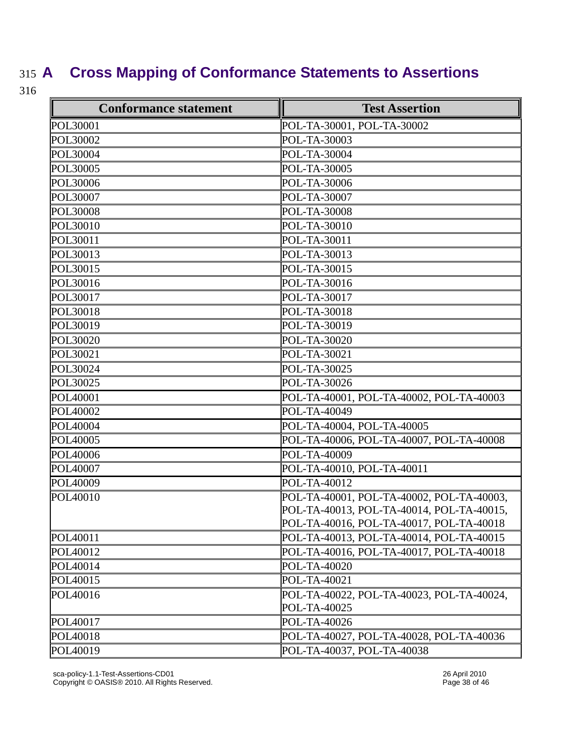## <span id="page-37-0"></span>315 **A Cross Mapping of Conformance Statements to Assertions**

| <b>Conformance statement</b> | <b>Test Assertion</b>                     |
|------------------------------|-------------------------------------------|
| POL30001                     | POL-TA-30001, POL-TA-30002                |
| POL30002                     | POL-TA-30003                              |
| POL30004                     | POL-TA-30004                              |
| POL30005                     | POL-TA-30005                              |
| <b>POL30006</b>              | POL-TA-30006                              |
| POL30007                     | POL-TA-30007                              |
| <b>POL30008</b>              | POL-TA-30008                              |
| POL30010                     | POL-TA-30010                              |
| POL30011                     | POL-TA-30011                              |
| POL30013                     | POL-TA-30013                              |
| POL30015                     | POL-TA-30015                              |
| POL30016                     | POL-TA-30016                              |
| POL30017                     | POL-TA-30017                              |
| POL30018                     | POL-TA-30018                              |
| POL30019                     | POL-TA-30019                              |
| POL30020                     | POL-TA-30020                              |
| POL30021                     | POL-TA-30021                              |
| POL30024                     | POL-TA-30025                              |
| POL30025                     | POL-TA-30026                              |
| POL40001                     | POL-TA-40001, POL-TA-40002, POL-TA-40003  |
| POL40002                     | POL-TA-40049                              |
| POL40004                     | POL-TA-40004, POL-TA-40005                |
| POL40005                     | POL-TA-40006, POL-TA-40007, POL-TA-40008  |
| POL40006                     | POL-TA-40009                              |
| POL40007                     | POL-TA-40010, POL-TA-40011                |
| POL40009                     | POL-TA-40012                              |
| POL40010                     | POL-TA-40001, POL-TA-40002, POL-TA-40003, |
|                              | POL-TA-40013, POL-TA-40014, POL-TA-40015, |
|                              | POL-TA-40016, POL-TA-40017, POL-TA-40018  |
| POL40011                     | POL-TA-40013, POL-TA-40014, POL-TA-40015  |
| POL40012                     | POL-TA-40016, POL-TA-40017, POL-TA-40018  |
| POL40014                     | POL-TA-40020                              |
| POL <sub>40015</sub>         | POL-TA-40021                              |
| POL40016                     | POL-TA-40022, POL-TA-40023, POL-TA-40024, |
|                              | POL-TA-40025                              |
| POL <sub>40017</sub>         | POL-TA-40026                              |
| POL40018                     | POL-TA-40027, POL-TA-40028, POL-TA-40036  |
| POL40019                     | POL-TA-40037, POL-TA-40038                |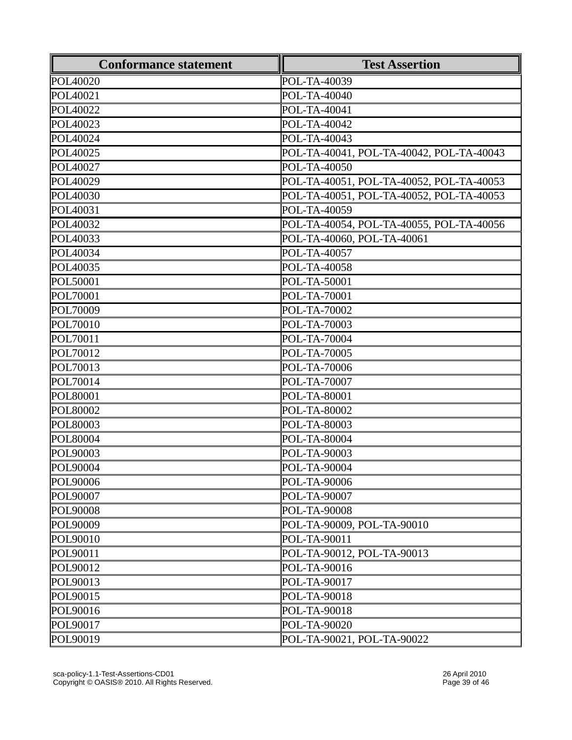| <b>Conformance statement</b> | <b>Test Assertion</b>                    |
|------------------------------|------------------------------------------|
| POL40020                     | POL-TA-40039                             |
| POL40021                     | POL-TA-40040                             |
| POL40022                     | POL-TA-40041                             |
| POL40023                     | POL-TA-40042                             |
| POL40024                     | POL-TA-40043                             |
| POL <sub>40025</sub>         | POL-TA-40041, POL-TA-40042, POL-TA-40043 |
| POL40027                     | POL-TA-40050                             |
| POL40029                     | POL-TA-40051, POL-TA-40052, POL-TA-40053 |
| POL40030                     | POL-TA-40051, POL-TA-40052, POL-TA-40053 |
| POL40031                     | POL-TA-40059                             |
| POL40032                     | POL-TA-40054, POL-TA-40055, POL-TA-40056 |
| POL40033                     | POL-TA-40060, POL-TA-40061               |
| POL40034                     | POL-TA-40057                             |
| POL40035                     | POL-TA-40058                             |
| <b>POL50001</b>              | POL-TA-50001                             |
| POL70001                     | POL-TA-70001                             |
| POL70009                     | POL-TA-70002                             |
| POL70010                     | POL-TA-70003                             |
| POL70011                     | POL-TA-70004                             |
| POL70012                     | POL-TA-70005                             |
| POL70013                     | POL-TA-70006                             |
| POL70014                     | POL-TA-70007                             |
| <b>POL80001</b>              | POL-TA-80001                             |
| POL80002                     | POL-TA-80002                             |
| <b>POL80003</b>              | POL-TA-80003                             |
| <b>POL80004</b>              | POL-TA-80004                             |
| POL90003                     | POL-TA-90003                             |
| POL90004                     | POL-TA-90004                             |
| POL90006                     | POL-TA-90006                             |
| <b>POL90007</b>              | POL-TA-90007                             |
| POL90008                     | POL-TA-90008                             |
| POL90009                     | POL-TA-90009, POL-TA-90010               |
| POL90010                     | POL-TA-90011                             |
| POL90011                     | POL-TA-90012, POL-TA-90013               |
| POL90012                     | POL-TA-90016                             |
| POL90013                     | POL-TA-90017                             |
| POL90015                     | POL-TA-90018                             |
| POL90016                     | POL-TA-90018                             |
| POL90017                     | POL-TA-90020                             |
| POL90019                     | POL-TA-90021, POL-TA-90022               |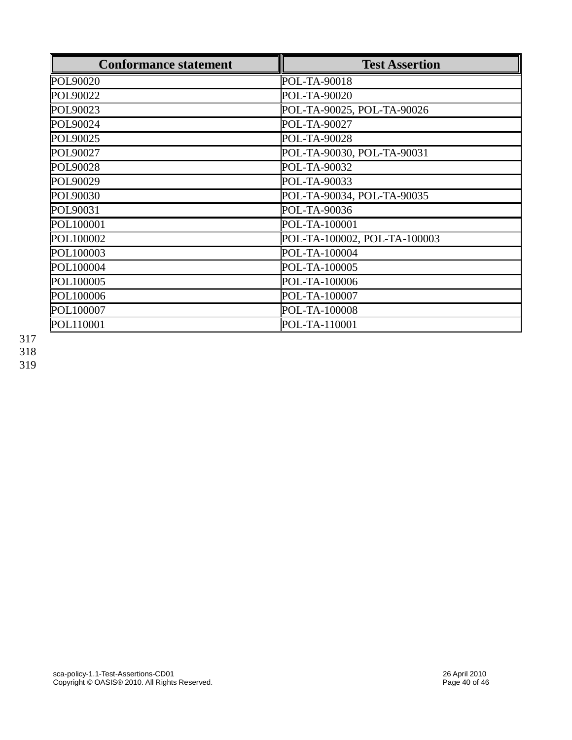| <b>Conformance statement</b> | <b>Test Assertion</b>        |
|------------------------------|------------------------------|
| POL90020                     | POL-TA-90018                 |
| POL90022                     | POL-TA-90020                 |
| POL90023                     | POL-TA-90025, POL-TA-90026   |
| POL90024                     | POL-TA-90027                 |
| POL90025                     | POL-TA-90028                 |
| POL90027                     | POL-TA-90030, POL-TA-90031   |
| POL90028                     | POL-TA-90032                 |
| POL90029                     | POL-TA-90033                 |
| POL90030                     | POL-TA-90034, POL-TA-90035   |
| POL90031                     | POL-TA-90036                 |
| POL100001                    | POL-TA-100001                |
| POL100002                    | POL-TA-100002, POL-TA-100003 |
| POL100003                    | POL-TA-100004                |
| POL100004                    | POL-TA-100005                |
| POL100005                    | POL-TA-100006                |
| POL100006                    | POL-TA-100007                |
| POL100007                    | POL-TA-100008                |
| POL110001                    | POL-TA-110001                |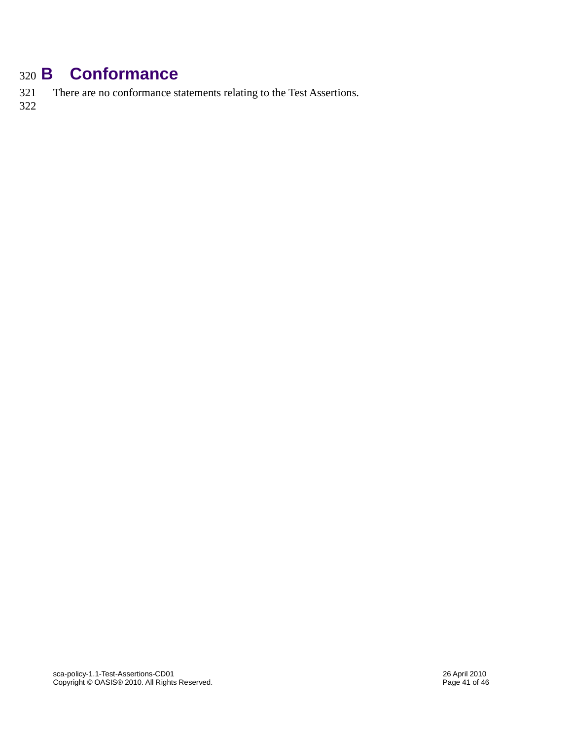## <span id="page-40-0"></span><sup>320</sup> **B Conformance**

321 There are no conformance statements relating to the Test Assertions.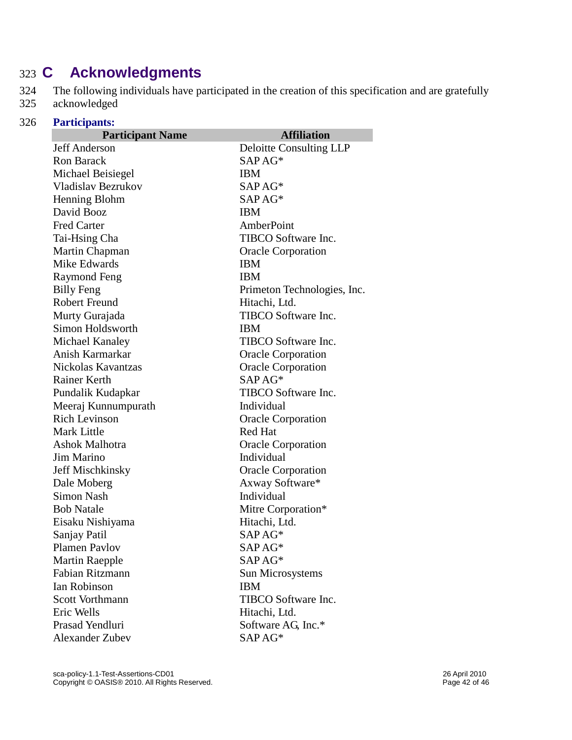## <span id="page-41-0"></span>323 **C Acknowledgments**

324 The following individuals have participated in the creation of this specification and are gratefully acknowledged acknowledged

| 326 | <b>Participants:</b>      |                             |  |  |
|-----|---------------------------|-----------------------------|--|--|
|     | <b>Participant Name</b>   | <b>Affiliation</b>          |  |  |
|     | Jeff Anderson             | Deloitte Consulting LLP     |  |  |
|     | <b>Ron Barack</b>         | $SAPAG*$                    |  |  |
|     | Michael Beisiegel         | <b>IBM</b>                  |  |  |
|     | <b>Vladislav Bezrukov</b> | SAPAG*<br>SAPAG*            |  |  |
|     | Henning Blohm             |                             |  |  |
|     | David Booz                | <b>IBM</b>                  |  |  |
|     | <b>Fred Carter</b>        | AmberPoint                  |  |  |
|     | Tai-Hsing Cha             | TIBCO Software Inc.         |  |  |
|     | Martin Chapman            | <b>Oracle Corporation</b>   |  |  |
|     | Mike Edwards              | <b>IBM</b>                  |  |  |
|     | Raymond Feng              | <b>IBM</b>                  |  |  |
|     | <b>Billy Feng</b>         | Primeton Technologies, Inc. |  |  |
|     | <b>Robert Freund</b>      | Hitachi, Ltd.               |  |  |
|     | Murty Gurajada            | TIBCO Software Inc.         |  |  |
|     | Simon Holdsworth          | <b>IBM</b>                  |  |  |
|     | Michael Kanaley           | TIBCO Software Inc.         |  |  |
|     | Anish Karmarkar           | <b>Oracle Corporation</b>   |  |  |
|     | Nickolas Kavantzas        | <b>Oracle Corporation</b>   |  |  |
|     | <b>Rainer Kerth</b>       | $SAPAG*$                    |  |  |
|     | Pundalik Kudapkar         | TIBCO Software Inc.         |  |  |
|     | Meeraj Kunnumpurath       | Individual                  |  |  |
|     | <b>Rich Levinson</b>      | <b>Oracle Corporation</b>   |  |  |
|     | <b>Mark Little</b>        | <b>Red Hat</b>              |  |  |
|     | Ashok Malhotra            | <b>Oracle Corporation</b>   |  |  |
|     | Jim Marino                | Individual                  |  |  |
|     | <b>Jeff Mischkinsky</b>   | <b>Oracle Corporation</b>   |  |  |
|     | Dale Moberg               | Axway Software*             |  |  |
|     | <b>Simon Nash</b>         | Individual                  |  |  |
|     | <b>Bob Natale</b>         | Mitre Corporation*          |  |  |
|     | Eisaku Nishiyama          | Hitachi, Ltd.               |  |  |
|     | Sanjay Patil              | SAP AG*                     |  |  |
|     | <b>Plamen Paylov</b>      | SAP AG*                     |  |  |
|     | <b>Martin Raepple</b>     | SAPAG*                      |  |  |
|     | Fabian Ritzmann           | Sun Microsystems            |  |  |
|     | Ian Robinson              | <b>IBM</b>                  |  |  |
|     | <b>Scott Vorthmann</b>    | TIBCO Software Inc.         |  |  |
|     | Eric Wells                | Hitachi, Ltd.               |  |  |
|     | Prasad Yendluri           | Software AG, Inc.*          |  |  |
|     | <b>Alexander Zubev</b>    | SAP AG*                     |  |  |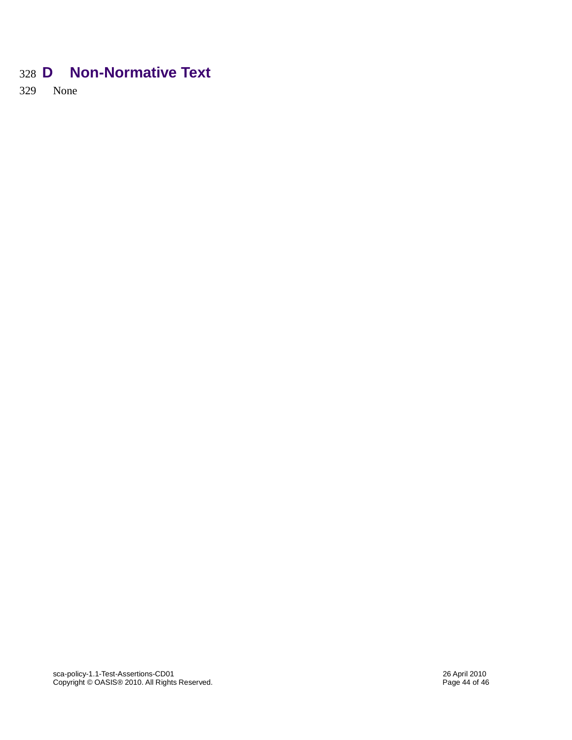## <span id="page-43-0"></span>328 **D Non-Normative Text**

329 None